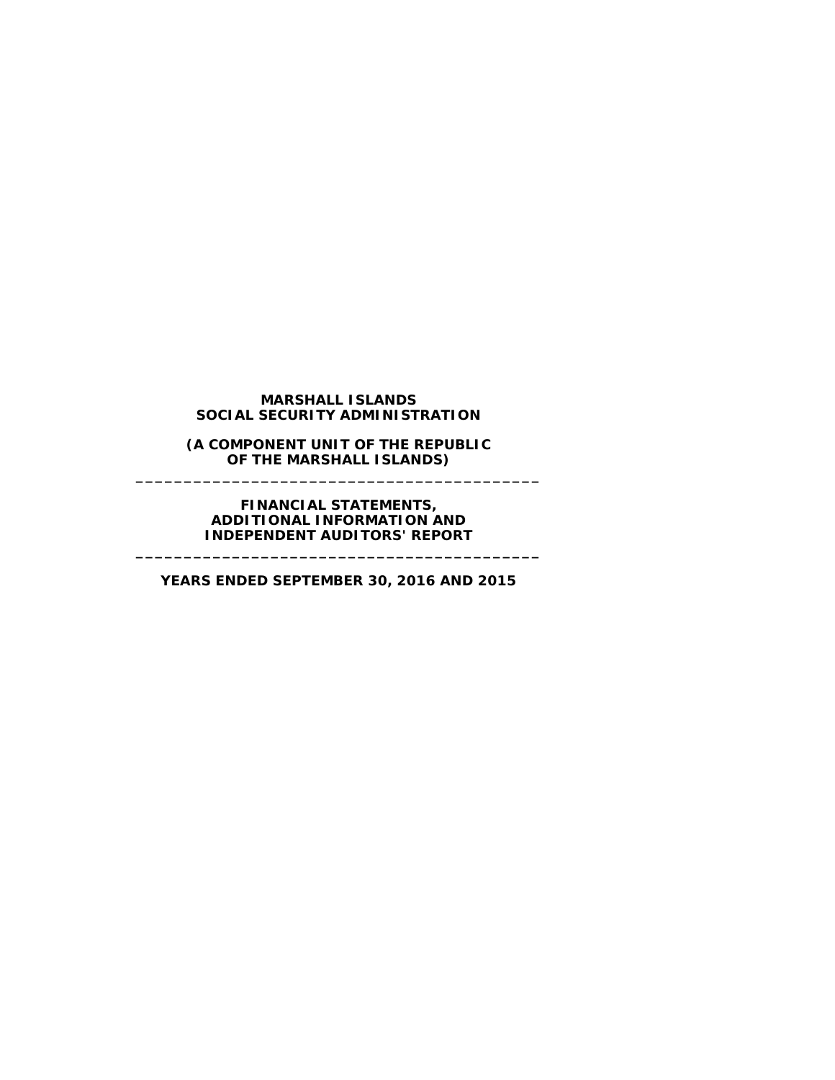#### **MARSHALL ISLANDS SOCIAL SECURITY ADMINISTRATION**

**(A COMPONENT UNIT OF THE REPUBLIC OF THE MARSHALL ISLANDS) \_\_\_\_\_\_\_\_\_\_\_\_\_\_\_\_\_\_\_\_\_\_\_\_\_\_\_\_\_\_\_\_\_\_\_\_\_\_\_\_\_\_**

#### **FINANCIAL STATEMENTS, ADDITIONAL INFORMATION AND INDEPENDENT AUDITORS' REPORT**

**YEARS ENDED SEPTEMBER 30, 2016 AND 2015**

**\_\_\_\_\_\_\_\_\_\_\_\_\_\_\_\_\_\_\_\_\_\_\_\_\_\_\_\_\_\_\_\_\_\_\_\_\_\_\_\_\_\_**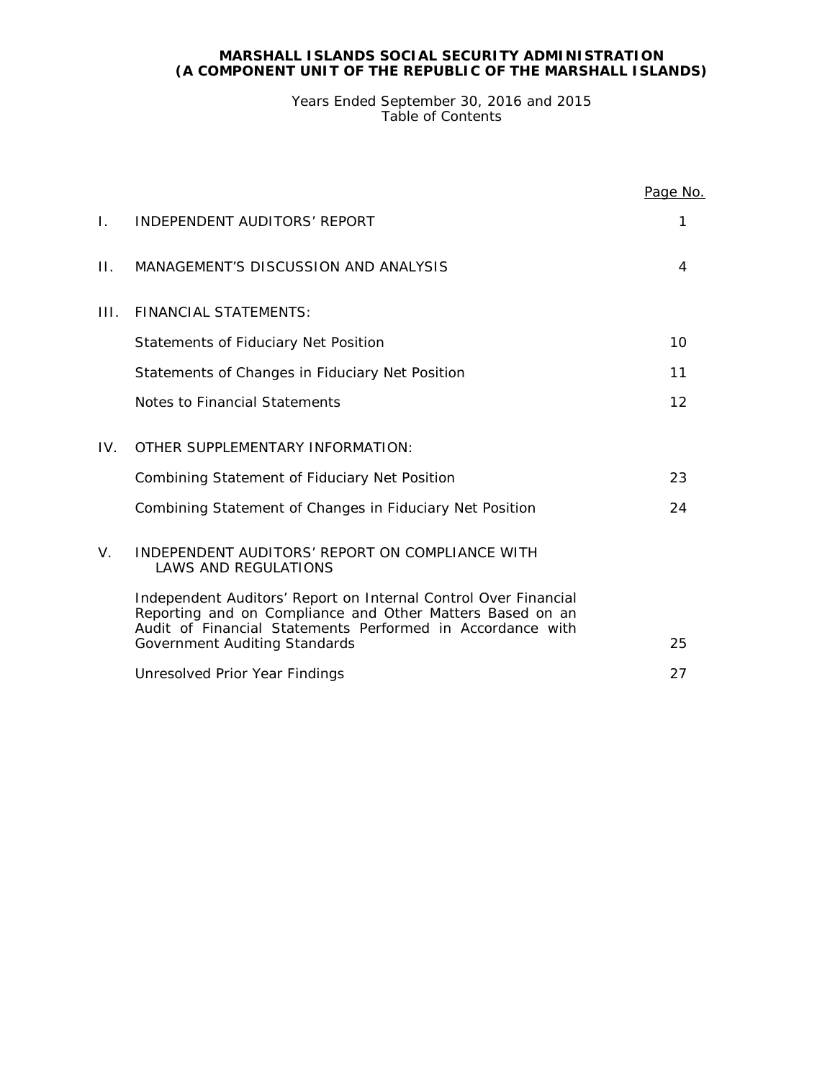#### Years Ended September 30, 2016 and 2015 Table of Contents

|          |                                                                                                                                                                                                                                    | Page No. |
|----------|------------------------------------------------------------------------------------------------------------------------------------------------------------------------------------------------------------------------------------|----------|
| Ι.       | INDEPENDENT AUDITORS' REPORT                                                                                                                                                                                                       | 1        |
| Н.       | MANAGEMENT'S DISCUSSION AND ANALYSIS                                                                                                                                                                                               | 4        |
| III.     | <b>FINANCIAL STATEMENTS:</b>                                                                                                                                                                                                       |          |
|          | Statements of Fiduciary Net Position                                                                                                                                                                                               | 10       |
|          | Statements of Changes in Fiduciary Net Position                                                                                                                                                                                    | 11       |
|          | Notes to Financial Statements                                                                                                                                                                                                      | 12       |
| $IV_{-}$ | OTHER SUPPLEMENTARY INFORMATION:                                                                                                                                                                                                   |          |
|          | Combining Statement of Fiduciary Net Position                                                                                                                                                                                      | 23       |
|          | Combining Statement of Changes in Fiduciary Net Position                                                                                                                                                                           | 24       |
| V.       | INDEPENDENT AUDITORS' REPORT ON COMPLIANCE WITH<br><b>LAWS AND REGULATIONS</b>                                                                                                                                                     |          |
|          | Independent Auditors' Report on Internal Control Over Financial<br>Reporting and on Compliance and Other Matters Based on an<br>Audit of Financial Statements Performed in Accordance with<br><b>Government Auditing Standards</b> | 25       |
|          | Unresolved Prior Year Findings                                                                                                                                                                                                     | 27       |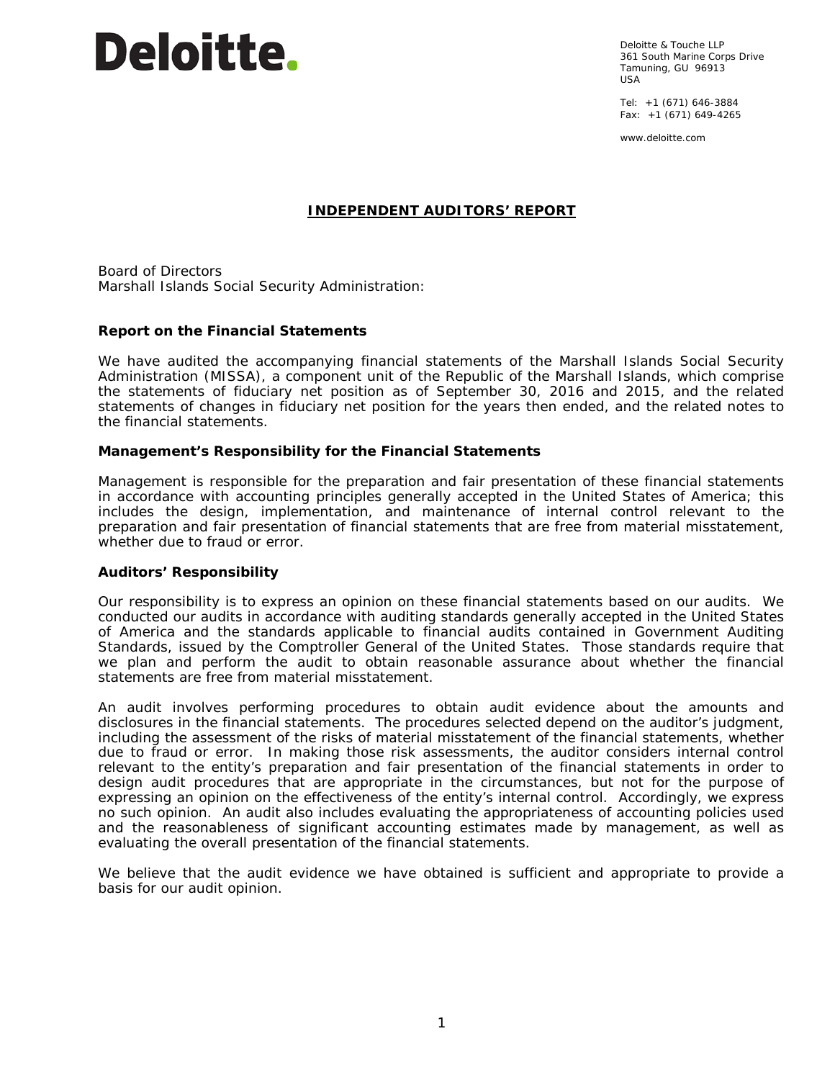# **Deloitte.**

Deloitte & Touche LLP 361 South Marine Corps Drive Tamuning, GU 96913 USA

Tel: +1 (671) 646-3884 Fax: +1 (671) 649-4265

www.deloitte.com

#### **INDEPENDENT AUDITORS' REPORT**

Board of Directors Marshall Islands Social Security Administration:

#### **Report on the Financial Statements**

We have audited the accompanying financial statements of the Marshall Islands Social Security Administration (MISSA), a component unit of the Republic of the Marshall Islands, which comprise the statements of fiduciary net position as of September 30, 2016 and 2015, and the related statements of changes in fiduciary net position for the years then ended, and the related notes to the financial statements.

#### *Management's Responsibility for the Financial Statements*

Management is responsible for the preparation and fair presentation of these financial statements in accordance with accounting principles generally accepted in the United States of America; this includes the design, implementation, and maintenance of internal control relevant to the preparation and fair presentation of financial statements that are free from material misstatement, whether due to fraud or error.

#### *Auditors' Responsibility*

Our responsibility is to express an opinion on these financial statements based on our audits. We conducted our audits in accordance with auditing standards generally accepted in the United States of America and the standards applicable to financial audits contained in *Government Auditing Standards*, issued by the Comptroller General of the United States. Those standards require that we plan and perform the audit to obtain reasonable assurance about whether the financial statements are free from material misstatement.

An audit involves performing procedures to obtain audit evidence about the amounts and disclosures in the financial statements. The procedures selected depend on the auditor's judgment, including the assessment of the risks of material misstatement of the financial statements, whether due to fraud or error. In making those risk assessments, the auditor considers internal control relevant to the entity's preparation and fair presentation of the financial statements in order to design audit procedures that are appropriate in the circumstances, but not for the purpose of expressing an opinion on the effectiveness of the entity's internal control. Accordingly, we express no such opinion. An audit also includes evaluating the appropriateness of accounting policies used and the reasonableness of significant accounting estimates made by management, as well as evaluating the overall presentation of the financial statements.

We believe that the audit evidence we have obtained is sufficient and appropriate to provide a basis for our audit opinion.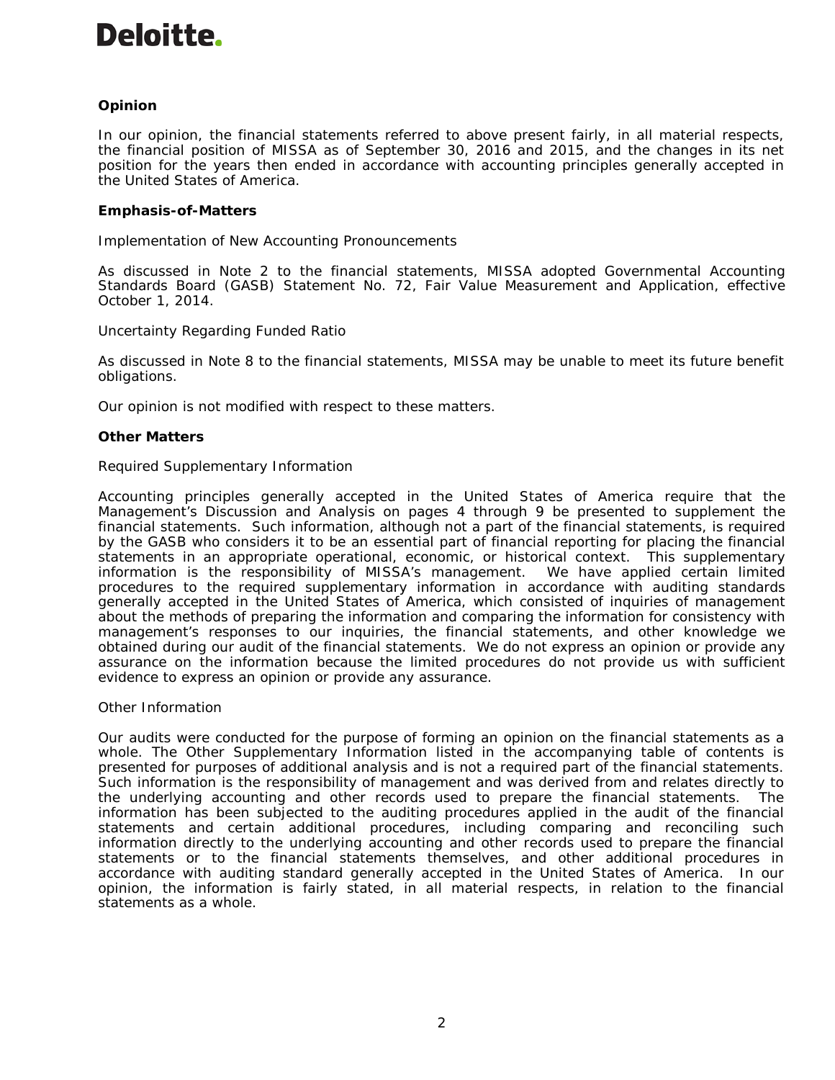# Deloitte.

# *Opinion*

In our opinion, the financial statements referred to above present fairly, in all material respects, the financial position of MISSA as of September 30, 2016 and 2015, and the changes in its net position for the years then ended in accordance with accounting principles generally accepted in the United States of America.

### *Emphasis-of-Matters*

#### *Implementation of New Accounting Pronouncements*

As discussed in Note 2 to the financial statements, MISSA adopted Governmental Accounting Standards Board (GASB) Statement No. 72, *Fair Value Measurement and Application,* effective October 1, 2014.

#### *Uncertainty Regarding Funded Ratio*

As discussed in Note 8 to the financial statements, MISSA may be unable to meet its future benefit obligations.

Our opinion is not modified with respect to these matters.

#### *Other Matters*

#### *Required Supplementary Information*

Accounting principles generally accepted in the United States of America require that the Management's Discussion and Analysis on pages 4 through 9 be presented to supplement the financial statements. Such information, although not a part of the financial statements, is required by the GASB who considers it to be an essential part of financial reporting for placing the financial statements in an appropriate operational, economic, or historical context. This supplementary information is the responsibility of MISSA's management. We have applied certain limited procedures to the required supplementary information in accordance with auditing standards generally accepted in the United States of America, which consisted of inquiries of management about the methods of preparing the information and comparing the information for consistency with management's responses to our inquiries, the financial statements, and other knowledge we obtained during our audit of the financial statements. We do not express an opinion or provide any assurance on the information because the limited procedures do not provide us with sufficient evidence to express an opinion or provide any assurance.

#### *Other Information*

Our audits were conducted for the purpose of forming an opinion on the financial statements as a whole. The Other Supplementary Information listed in the accompanying table of contents is presented for purposes of additional analysis and is not a required part of the financial statements. Such information is the responsibility of management and was derived from and relates directly to the underlying accounting and other records used to prepare the financial statements. The information has been subjected to the auditing procedures applied in the audit of the financial statements and certain additional procedures, including comparing and reconciling such information directly to the underlying accounting and other records used to prepare the financial statements or to the financial statements themselves, and other additional procedures in accordance with auditing standard generally accepted in the United States of America. In our opinion, the information is fairly stated, in all material respects, in relation to the financial statements as a whole.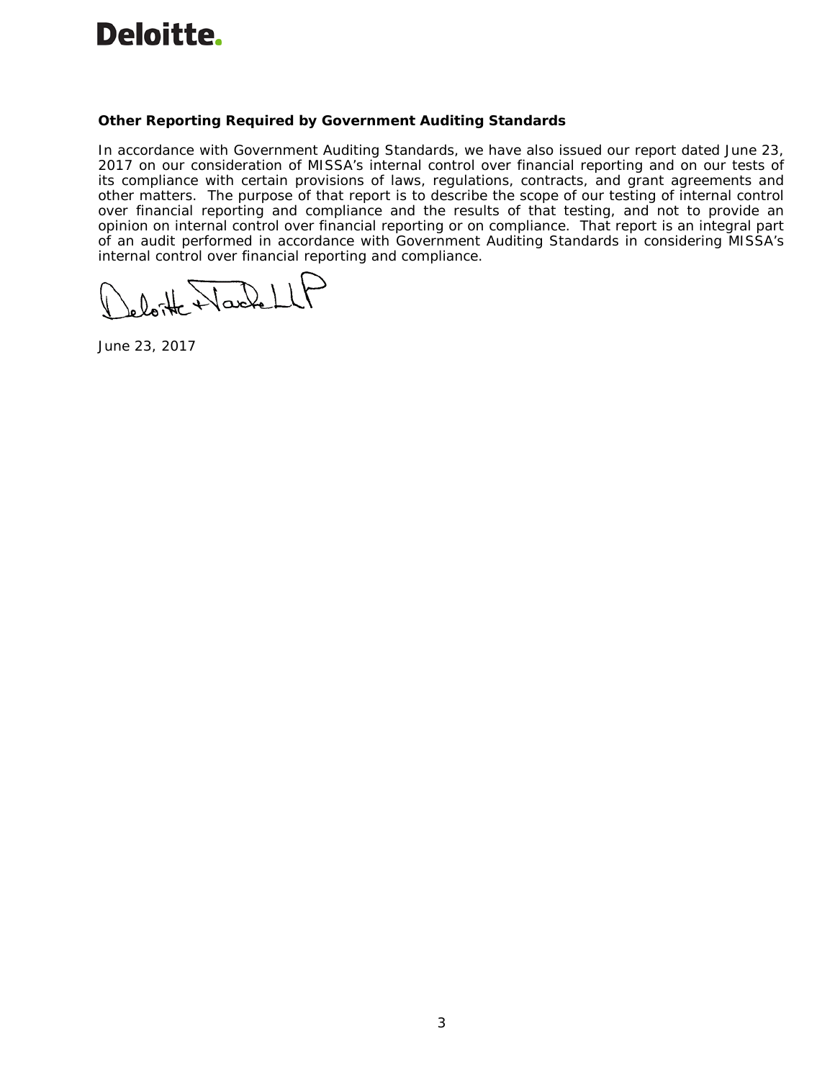

#### **Other Reporting Required by** *Government Auditing Standards*

In accordance with *Government Auditing Standards*, we have also issued our report dated June 23, 2017 on our consideration of MISSA's internal control over financial reporting and on our tests of its compliance with certain provisions of laws, regulations, contracts, and grant agreements and other matters. The purpose of that report is to describe the scope of our testing of internal control over financial reporting and compliance and the results of that testing, and not to provide an opinion on internal control over financial reporting or on compliance. That report is an integral part of an audit performed in accordance with *Government Auditing Standards* in considering MISSA's internal control over financial reporting and compliance.

loite Harlell

June 23, 2017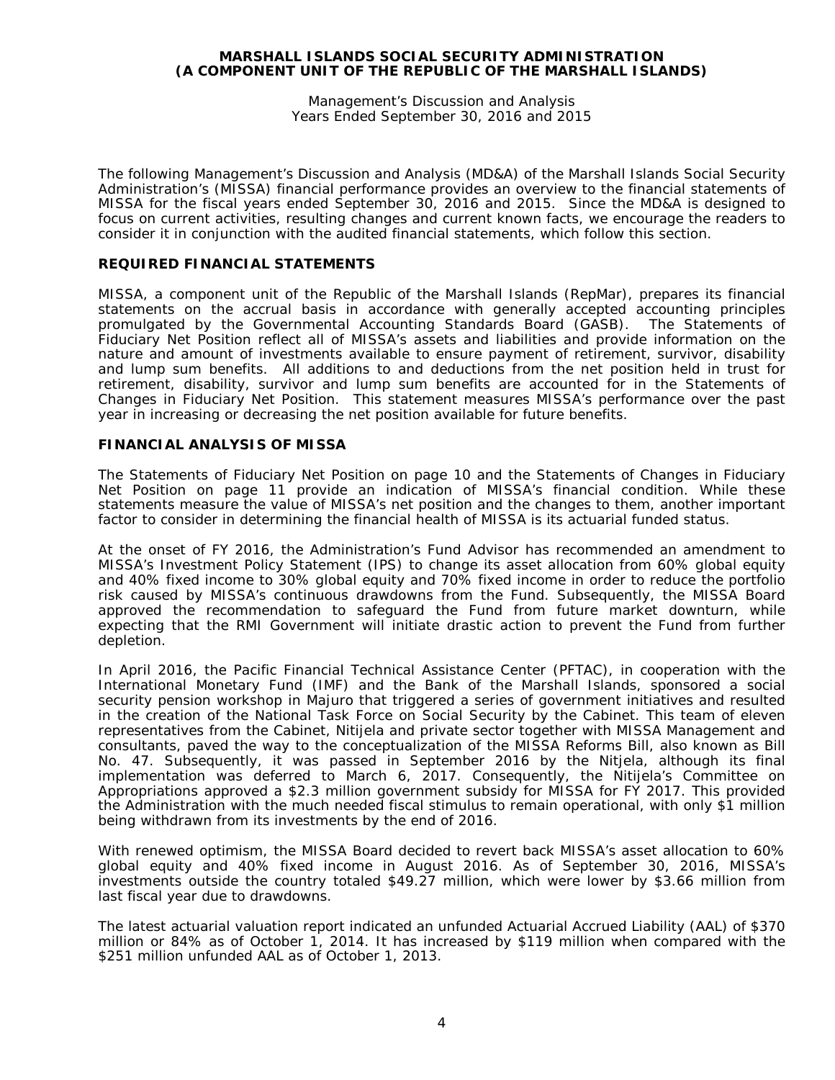Management's Discussion and Analysis Years Ended September 30, 2016 and 2015

The following Management's Discussion and Analysis (MD&A) of the Marshall Islands Social Security Administration's (MISSA) financial performance provides an overview to the financial statements of MISSA for the fiscal years ended September 30, 2016 and 2015. Since the MD&A is designed to focus on current activities, resulting changes and current known facts, we encourage the readers to consider it in conjunction with the audited financial statements, which follow this section.

#### **REQUIRED FINANCIAL STATEMENTS**

MISSA, a component unit of the Republic of the Marshall Islands (RepMar), prepares its financial statements on the accrual basis in accordance with generally accepted accounting principles promulgated by the Governmental Accounting Standards Board (GASB). Fiduciary Net Position reflect all of MISSA's assets and liabilities and provide information on the nature and amount of investments available to ensure payment of retirement, survivor, disability and lump sum benefits. All additions to and deductions from the net position held in trust for retirement, disability, survivor and lump sum benefits are accounted for in the Statements of Changes in Fiduciary Net Position. This statement measures MISSA's performance over the past year in increasing or decreasing the net position available for future benefits.

#### **FINANCIAL ANALYSIS OF MISSA**

The Statements of Fiduciary Net Position on page 10 and the Statements of Changes in Fiduciary Net Position on page 11 provide an indication of MISSA's financial condition. While these statements measure the value of MISSA's net position and the changes to them, another important factor to consider in determining the financial health of MISSA is its actuarial funded status.

At the onset of FY 2016, the Administration's Fund Advisor has recommended an amendment to MISSA's Investment Policy Statement (IPS) to change its asset allocation from 60% global equity and 40% fixed income to 30% global equity and 70% fixed income in order to reduce the portfolio risk caused by MISSA's continuous drawdowns from the Fund. Subsequently, the MISSA Board approved the recommendation to safeguard the Fund from future market downturn, while expecting that the RMI Government will initiate drastic action to prevent the Fund from further depletion.

In April 2016, the Pacific Financial Technical Assistance Center (PFTAC), in cooperation with the International Monetary Fund (IMF) and the Bank of the Marshall Islands, sponsored a social security pension workshop in Majuro that triggered a series of government initiatives and resulted in the creation of the National Task Force on Social Security by the Cabinet. This team of eleven representatives from the Cabinet, Nitijela and private sector together with MISSA Management and consultants, paved the way to the conceptualization of the MISSA Reforms Bill, also known as Bill No. 47. Subsequently, it was passed in September 2016 by the Nitjela, although its final implementation was deferred to March 6, 2017. Consequently, the Nitijela's Committee on Appropriations approved a \$2.3 million government subsidy for MISSA for FY 2017. This provided the Administration with the much needed fiscal stimulus to remain operational, with only \$1 million being withdrawn from its investments by the end of 2016.

With renewed optimism, the MISSA Board decided to revert back MISSA's asset allocation to 60% global equity and 40% fixed income in August 2016. As of September 30, 2016, MISSA's investments outside the country totaled \$49.27 million, which were lower by \$3.66 million from last fiscal year due to drawdowns.

The latest actuarial valuation report indicated an unfunded Actuarial Accrued Liability (AAL) of \$370 million or 84% as of October 1, 2014. It has increased by \$119 million when compared with the \$251 million unfunded AAL as of October 1, 2013.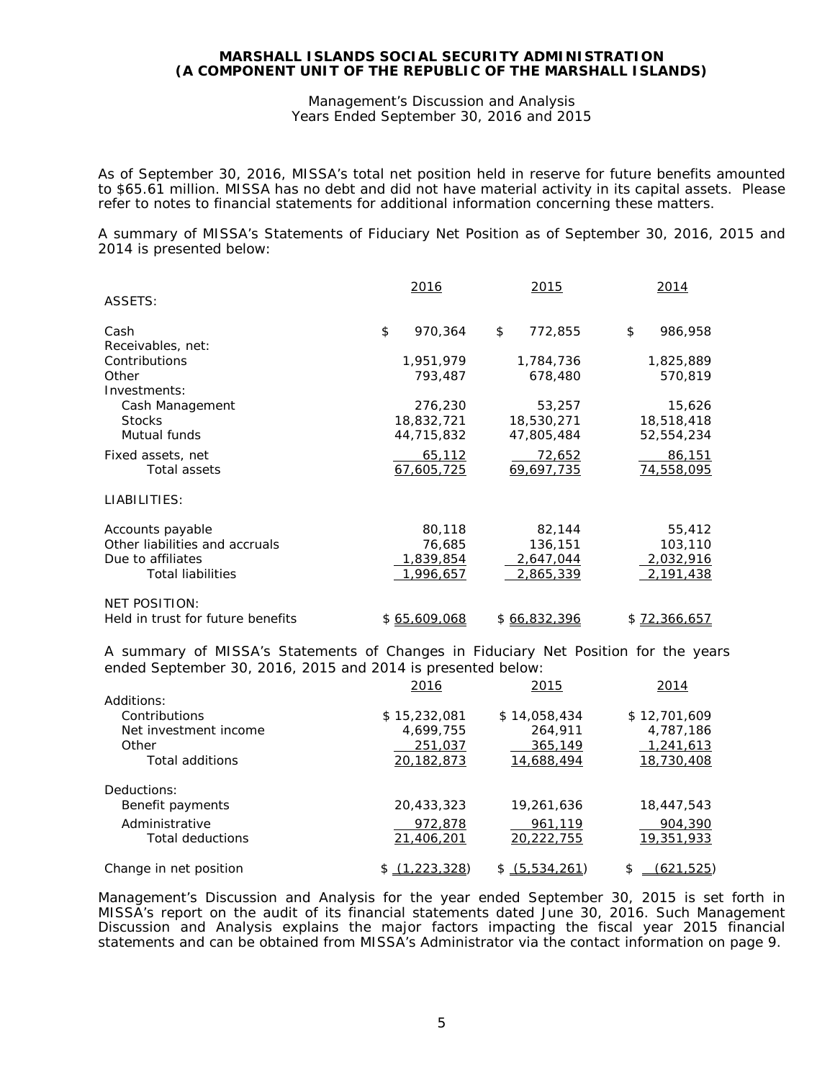Management's Discussion and Analysis Years Ended September 30, 2016 and 2015

As of September 30, 2016, MISSA's total net position held in reserve for future benefits amounted to \$65.61 million. MISSA has no debt and did not have material activity in its capital assets. Please refer to notes to financial statements for additional information concerning these matters.

A summary of MISSA's Statements of Fiduciary Net Position as of September 30, 2016, 2015 and 2014 is presented below:

|                                   | 2016          | 2015          | 2014          |
|-----------------------------------|---------------|---------------|---------------|
| ASSETS:                           |               |               |               |
| Cash                              | \$<br>970,364 | \$<br>772,855 | \$<br>986,958 |
| Receivables, net:                 |               |               |               |
| Contributions                     | 1,951,979     | 1,784,736     | 1,825,889     |
| Other                             | 793,487       | 678,480       | 570,819       |
| Investments:                      |               |               |               |
| Cash Management                   | 276,230       | 53,257        | 15,626        |
| <b>Stocks</b>                     | 18,832,721    | 18,530,271    | 18,518,418    |
| Mutual funds                      | 44,715,832    | 47,805,484    | 52,554,234    |
| Fixed assets, net                 | 65,112        | 72,652        | 86,151        |
| Total assets                      | 67,605,725    | 69,697,735    | 74,558,095    |
| LIABILITIES:                      |               |               |               |
| Accounts payable                  | 80,118        | 82,144        | 55,412        |
| Other liabilities and accruals    | 76,685        | 136,151       | 103,110       |
| Due to affiliates                 | 1,839,854     | 2,647,044     | 2,032,916     |
| <b>Total liabilities</b>          | 1,996,657     | 2,865,339     | 2,191,438     |
| <b>NET POSITION:</b>              |               |               |               |
| Held in trust for future benefits | \$65,609,068  | \$66,832,396  | \$72,366,657  |

A summary of MISSA's Statements of Changes in Fiduciary Net Position for the years ended September 30, 2016, 2015 and 2014 is presented below:

|                        | 2016         | 2015          | 2014          |
|------------------------|--------------|---------------|---------------|
| Additions:             |              |               |               |
| Contributions          | \$15,232,081 | \$14,058,434  | \$12,701,609  |
| Net investment income  | 4,699,755    | 264,911       | 4,787,186     |
| Other                  | 251,037      | 365,149       | 1,241,613     |
| Total additions        | 20,182,873   | 14,688,494    | 18,730,408    |
| Deductions:            |              |               |               |
| Benefit payments       | 20,433,323   | 19,261,636    | 18,447,543    |
| Administrative         | 972,878      | 961,119       | 904,390       |
| Total deductions       | 21,406,201   | 20,222,755    | 19,351,933    |
| Change in net position |              | \$(5.534.261) | \$<br>621.525 |

Management's Discussion and Analysis for the year ended September 30, 2015 is set forth in MISSA's report on the audit of its financial statements dated June 30, 2016. Such Management Discussion and Analysis explains the major factors impacting the fiscal year 2015 financial statements and can be obtained from MISSA's Administrator via the contact information on page 9.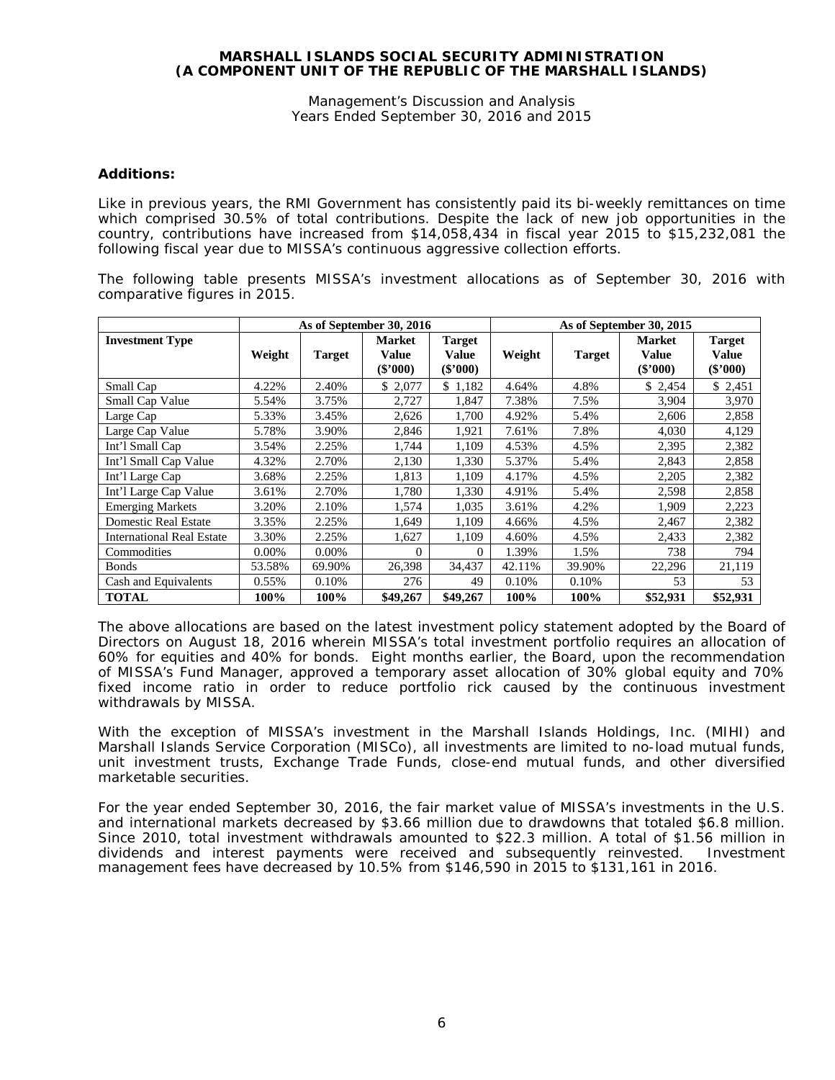Management's Discussion and Analysis Years Ended September 30, 2016 and 2015

#### **Additions:**

Like in previous years, the RMI Government has consistently paid its bi-weekly remittances on time which comprised 30.5% of total contributions. Despite the lack of new job opportunities in the country, contributions have increased from \$14,058,434 in fiscal year 2015 to \$15,232,081 the following fiscal year due to MISSA's continuous aggressive collection efforts.

The following table presents MISSA's investment allocations as of September 30, 2016 with comparative figures in 2015.

| As of September 30, 2016         |        |               |                                             |                                             | As of September 30, 2015 |               |                                             |                                             |
|----------------------------------|--------|---------------|---------------------------------------------|---------------------------------------------|--------------------------|---------------|---------------------------------------------|---------------------------------------------|
| <b>Investment Type</b>           | Weight | <b>Target</b> | <b>Market</b><br><b>Value</b><br>$(\$'000)$ | <b>Target</b><br><b>Value</b><br>$(\$'000)$ | Weight                   | <b>Target</b> | <b>Market</b><br><b>Value</b><br>$(\$'000)$ | <b>Target</b><br><b>Value</b><br>$(\$'000)$ |
| Small Cap                        | 4.22%  | 2.40%         | \$2,077                                     | \$1,182                                     | 4.64%                    | 4.8%          | \$2,454                                     | \$2,451                                     |
| Small Cap Value                  | 5.54%  | 3.75%         | 2,727                                       | 1.847                                       | 7.38%                    | 7.5%          | 3,904                                       | 3,970                                       |
| Large Cap                        | 5.33%  | 3.45%         | 2,626                                       | 1,700                                       | 4.92%                    | 5.4%          | 2,606                                       | 2,858                                       |
| Large Cap Value                  | 5.78%  | 3.90%         | 2,846                                       | 1,921                                       | 7.61%                    | 7.8%          | 4,030                                       | 4,129                                       |
| Int'l Small Cap                  | 3.54%  | 2.25%         | 1,744                                       | 1,109                                       | 4.53%                    | 4.5%          | 2,395                                       | 2,382                                       |
| Int'l Small Cap Value            | 4.32%  | 2.70%         | 2,130                                       | 1,330                                       | 5.37%                    | 5.4%          | 2,843                                       | 2,858                                       |
| Int'l Large Cap                  | 3.68%  | 2.25%         | 1,813                                       | 1,109                                       | 4.17%                    | 4.5%          | 2,205                                       | 2,382                                       |
| Int'l Large Cap Value            | 3.61%  | 2.70%         | 1,780                                       | 1,330                                       | 4.91%                    | 5.4%          | 2,598                                       | 2,858                                       |
| <b>Emerging Markets</b>          | 3.20%  | 2.10%         | 1,574                                       | 1,035                                       | 3.61%                    | 4.2%          | 1,909                                       | 2,223                                       |
| Domestic Real Estate             | 3.35%  | 2.25%         | 1,649                                       | 1,109                                       | 4.66%                    | 4.5%          | 2,467                                       | 2,382                                       |
| <b>International Real Estate</b> | 3.30%  | 2.25%         | 1,627                                       | 1,109                                       | 4.60%                    | 4.5%          | 2,433                                       | 2,382                                       |
| Commodities                      | 0.00%  | 0.00%         | $\theta$                                    | $\Omega$                                    | 1.39%                    | 1.5%          | 738                                         | 794                                         |
| <b>Bonds</b>                     | 53.58% | 69.90%        | 26,398                                      | 34,437                                      | 42.11%                   | 39.90%        | 22,296                                      | 21,119                                      |
| Cash and Equivalents             | 0.55%  | 0.10%         | 276                                         | 49                                          | 0.10%                    | 0.10%         | 53                                          | 53                                          |
| <b>TOTAL</b>                     | 100%   | 100%          | \$49,267                                    | \$49,267                                    | 100%                     | 100%          | \$52,931                                    | \$52,931                                    |

The above allocations are based on the latest investment policy statement adopted by the Board of Directors on August 18, 2016 wherein MISSA's total investment portfolio requires an allocation of 60% for equities and 40% for bonds. Eight months earlier, the Board, upon the recommendation of MISSA's Fund Manager, approved a temporary asset allocation of 30% global equity and 70% fixed income ratio in order to reduce portfolio rick caused by the continuous investment withdrawals by MISSA.

With the exception of MISSA's investment in the Marshall Islands Holdings, Inc. (MIHI) and Marshall Islands Service Corporation (MISCo), all investments are limited to no-load mutual funds, unit investment trusts, Exchange Trade Funds, close-end mutual funds, and other diversified marketable securities.

For the year ended September 30, 2016, the fair market value of MISSA's investments in the U.S. and international markets decreased by \$3.66 million due to drawdowns that totaled \$6.8 million. Since 2010, total investment withdrawals amounted to \$22.3 million. A total of \$1.56 million in dividends and interest payments were received and subsequently reinvested. Investment management fees have decreased by 10.5% from \$146,590 in 2015 to \$131,161 in 2016.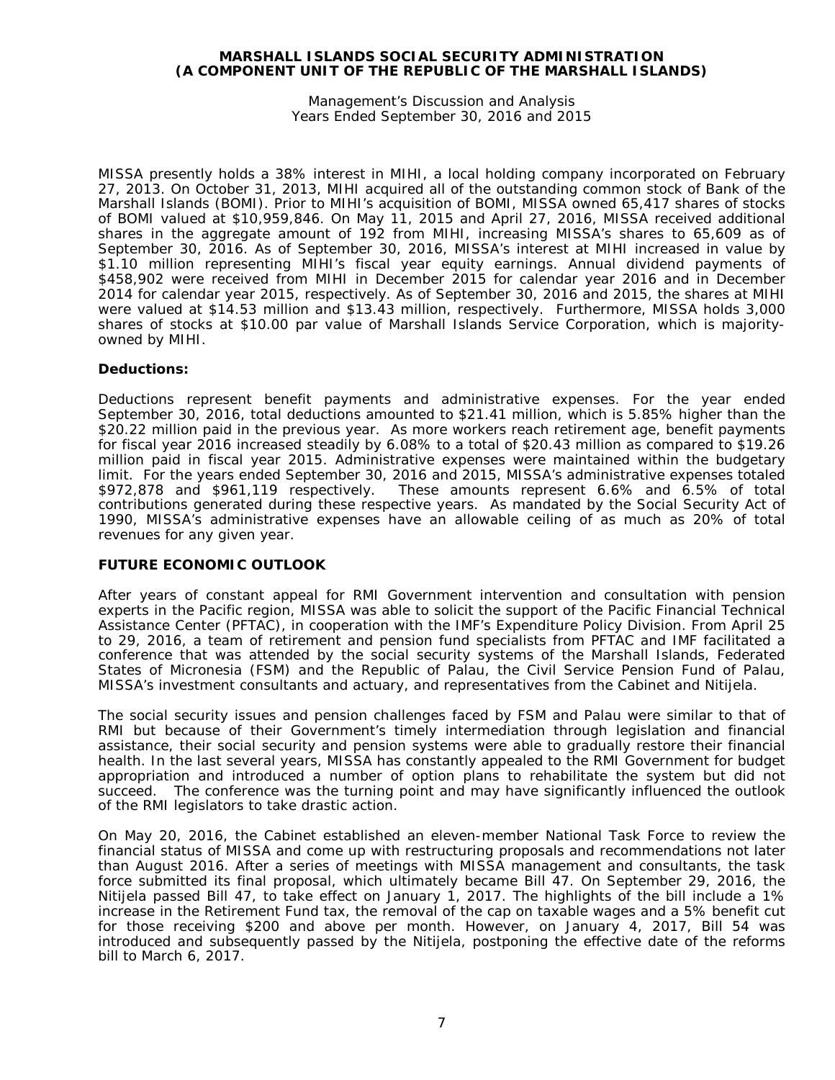Management's Discussion and Analysis Years Ended September 30, 2016 and 2015

MISSA presently holds a 38% interest in MIHI, a local holding company incorporated on February 27, 2013. On October 31, 2013, MIHI acquired all of the outstanding common stock of Bank of the Marshall Islands (BOMI). Prior to MIHI's acquisition of BOMI, MISSA owned 65,417 shares of stocks of BOMI valued at \$10,959,846. On May 11, 2015 and April 27, 2016, MISSA received additional shares in the aggregate amount of 192 from MIHI, increasing MISSA's shares to 65,609 as of September 30, 2016. As of September 30, 2016, MISSA's interest at MIHI increased in value by \$1.10 million representing MIHI's fiscal year equity earnings. Annual dividend payments of \$458,902 were received from MIHI in December 2015 for calendar year 2016 and in December 2014 for calendar year 2015, respectively. As of September 30, 2016 and 2015, the shares at MIHI were valued at \$14.53 million and \$13.43 million, respectively. Furthermore, MISSA holds 3,000 shares of stocks at \$10.00 par value of Marshall Islands Service Corporation, which is majorityowned by MIHI.

#### **Deductions:**

Deductions represent benefit payments and administrative expenses. For the year ended September 30, 2016, total deductions amounted to \$21.41 million, which is 5.85% higher than the \$20.22 million paid in the previous year. As more workers reach retirement age, benefit payments for fiscal year 2016 increased steadily by 6.08% to a total of \$20.43 million as compared to \$19.26 million paid in fiscal year 2015. Administrative expenses were maintained within the budgetary limit. For the years ended September 30, 2016 and 2015, MISSA's administrative expenses totaled \$972,878 and \$961,119 respectively. These amounts represent 6.6% and 6.5% of total contributions generated during these respective years. As mandated by the Social Security Act of 1990, MISSA's administrative expenses have an allowable ceiling of as much as 20% of total revenues for any given year.

#### **FUTURE ECONOMIC OUTLOOK**

After years of constant appeal for RMI Government intervention and consultation with pension experts in the Pacific region, MISSA was able to solicit the support of the Pacific Financial Technical Assistance Center (PFTAC), in cooperation with the IMF's Expenditure Policy Division. From April 25 to 29, 2016, a team of retirement and pension fund specialists from PFTAC and IMF facilitated a conference that was attended by the social security systems of the Marshall Islands, Federated States of Micronesia (FSM) and the Republic of Palau, the Civil Service Pension Fund of Palau, MISSA's investment consultants and actuary, and representatives from the Cabinet and Nitijela.

The social security issues and pension challenges faced by FSM and Palau were similar to that of RMI but because of their Government's timely intermediation through legislation and financial assistance, their social security and pension systems were able to gradually restore their financial health. In the last several years, MISSA has constantly appealed to the RMI Government for budget appropriation and introduced a number of option plans to rehabilitate the system but did not succeed. The conference was the turning point and may have significantly influenced the outlook of the RMI legislators to take drastic action.

On May 20, 2016, the Cabinet established an eleven-member National Task Force to review the financial status of MISSA and come up with restructuring proposals and recommendations not later than August 2016. After a series of meetings with MISSA management and consultants, the task force submitted its final proposal, which ultimately became Bill 47. On September 29, 2016, the Nitijela passed Bill 47, to take effect on January 1, 2017. The highlights of the bill include a 1% increase in the Retirement Fund tax, the removal of the cap on taxable wages and a 5% benefit cut for those receiving \$200 and above per month. However, on January 4, 2017, Bill 54 was introduced and subsequently passed by the Nitijela, postponing the effective date of the reforms bill to March 6, 2017.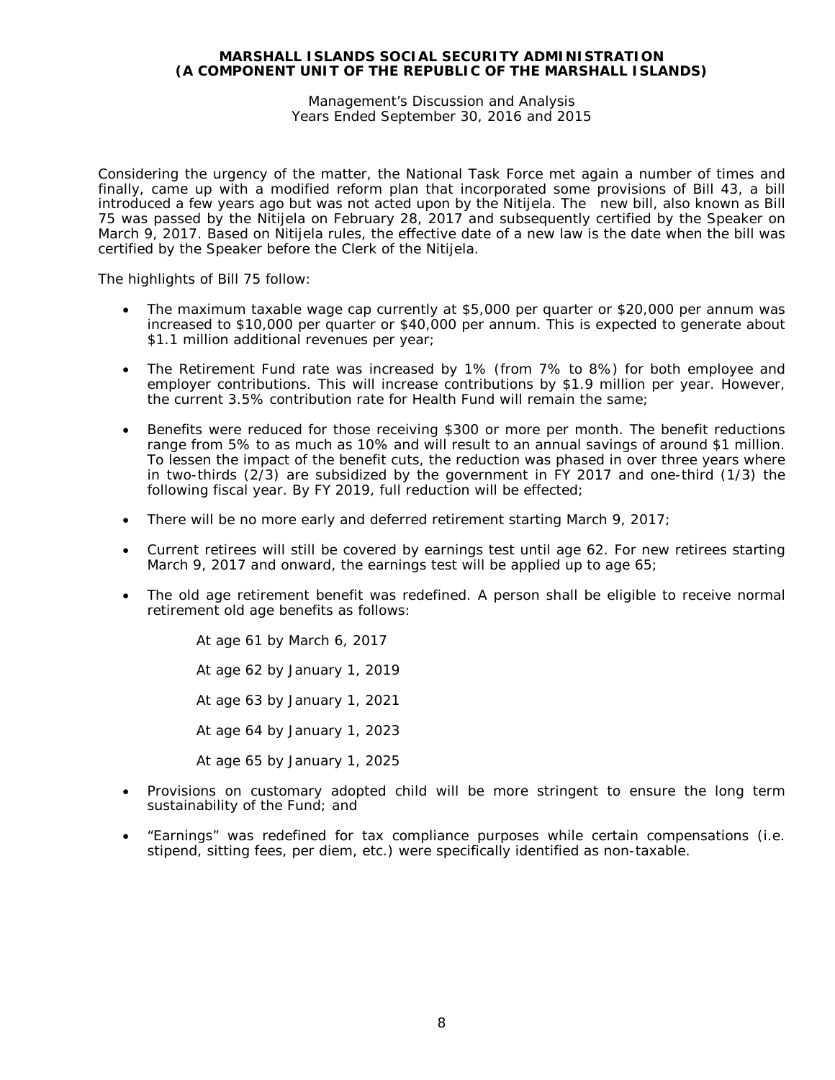Management's Discussion and Analysis Years Ended September 30, 2016 and 2015

Considering the urgency of the matter, the National Task Force met again a number of times and finally, came up with a modified reform plan that incorporated some provisions of Bill 43, a bill introduced a few years ago but was not acted upon by the Nitijela. The new bill, also known as Bill 75 was passed by the Nitijela on February 28, 2017 and subsequently certified by the Speaker on March 9, 2017. Based on Nitijela rules, the effective date of a new law is the date when the bill was certified by the Speaker before the Clerk of the Nitijela.

The highlights of Bill 75 follow:

- The maximum taxable wage cap currently at \$5,000 per quarter or \$20,000 per annum was increased to \$10,000 per quarter or \$40,000 per annum. This is expected to generate about \$1.1 million additional revenues per year;
- The Retirement Fund rate was increased by 1% (from 7% to 8%) for both employee and employer contributions. This will increase contributions by \$1.9 million per year. However, the current 3.5% contribution rate for Health Fund will remain the same;
- Benefits were reduced for those receiving \$300 or more per month. The benefit reductions range from 5% to as much as 10% and will result to an annual savings of around \$1 million. To lessen the impact of the benefit cuts, the reduction was phased in over three years where in two-thirds (2/3) are subsidized by the government in FY 2017 and one-third (1/3) the following fiscal year. By FY 2019, full reduction will be effected;
- There will be no more early and deferred retirement starting March 9, 2017;
- Current retirees will still be covered by earnings test until age 62. For new retirees starting March 9, 2017 and onward, the earnings test will be applied up to age 65;
- The old age retirement benefit was redefined. A person shall be eligible to receive normal retirement old age benefits as follows:

At age 61 by March 6, 2017 At age 62 by January 1, 2019 At age 63 by January 1, 2021 At age 64 by January 1, 2023 At age 65 by January 1, 2025

- Provisions on customary adopted child will be more stringent to ensure the long term sustainability of the Fund; and
- "Earnings" was redefined for tax compliance purposes while certain compensations (i.e. stipend, sitting fees, per diem, etc.) were specifically identified as non-taxable.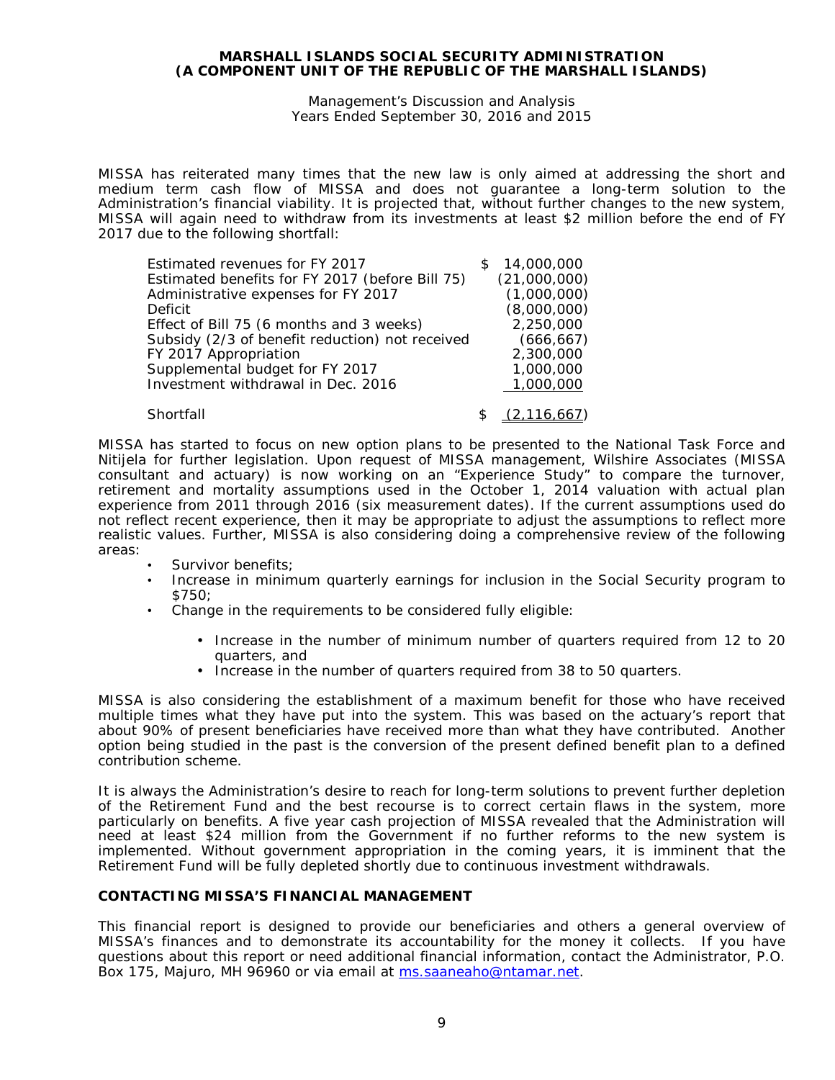Management's Discussion and Analysis Years Ended September 30, 2016 and 2015

MISSA has reiterated many times that the new law is only aimed at addressing the short and medium term cash flow of MISSA and does not guarantee a long-term solution to the Administration's financial viability. It is projected that, without further changes to the new system, MISSA will again need to withdraw from its investments at least \$2 million before the end of FY 2017 due to the following shortfall:

| Estimated revenues for FY 2017                  | S | 14,000,000     |
|-------------------------------------------------|---|----------------|
| Estimated benefits for FY 2017 (before Bill 75) |   | (21,000,000)   |
| Administrative expenses for FY 2017             |   | (1,000,000)    |
| Deficit                                         |   | (8,000,000)    |
| Effect of Bill 75 (6 months and 3 weeks)        |   | 2,250,000      |
| Subsidy (2/3 of benefit reduction) not received |   | (666, 667)     |
| FY 2017 Appropriation                           |   | 2,300,000      |
| Supplemental budget for FY 2017                 |   | 1,000,000      |
| Investment withdrawal in Dec. 2016              |   | 1,000,000      |
| Shortfall                                       |   | \$ (2,116,667) |

MISSA has started to focus on new option plans to be presented to the National Task Force and Nitijela for further legislation. Upon request of MISSA management, Wilshire Associates (MISSA consultant and actuary) is now working on an "Experience Study" to compare the turnover, retirement and mortality assumptions used in the October 1, 2014 valuation with actual plan experience from 2011 through 2016 (six measurement dates). If the current assumptions used do not reflect recent experience, then it may be appropriate to adjust the assumptions to reflect more realistic values. Further, MISSA is also considering doing a comprehensive review of the following areas:

- Survivor benefits:
- Increase in minimum quarterly earnings for inclusion in the Social Security program to \$750;
- Change in the requirements to be considered fully eligible:
	- Increase in the number of minimum number of quarters required from 12 to 20 quarters, and
	- Increase in the number of quarters required from 38 to 50 quarters.

MISSA is also considering the establishment of a maximum benefit for those who have received multiple times what they have put into the system. This was based on the actuary's report that about 90% of present beneficiaries have received more than what they have contributed. Another option being studied in the past is the conversion of the present defined benefit plan to a defined contribution scheme.

It is always the Administration's desire to reach for long-term solutions to prevent further depletion of the Retirement Fund and the best recourse is to correct certain flaws in the system, more particularly on benefits. A five year cash projection of MISSA revealed that the Administration will need at least \$24 million from the Government if no further reforms to the new system is implemented. Without government appropriation in the coming years, it is imminent that the Retirement Fund will be fully depleted shortly due to continuous investment withdrawals.

#### **CONTACTING MISSA'S FINANCIAL MANAGEMENT**

This financial report is designed to provide our beneficiaries and others a general overview of MISSA's finances and to demonstrate its accountability for the money it collects. If you have questions about this report or need additional financial information, contact the Administrator, P.O. Box 175, Majuro, MH 96960 or via email at [ms.saaneaho@ntamar.net.](mailto:ms.saaneaho@ntamar.net)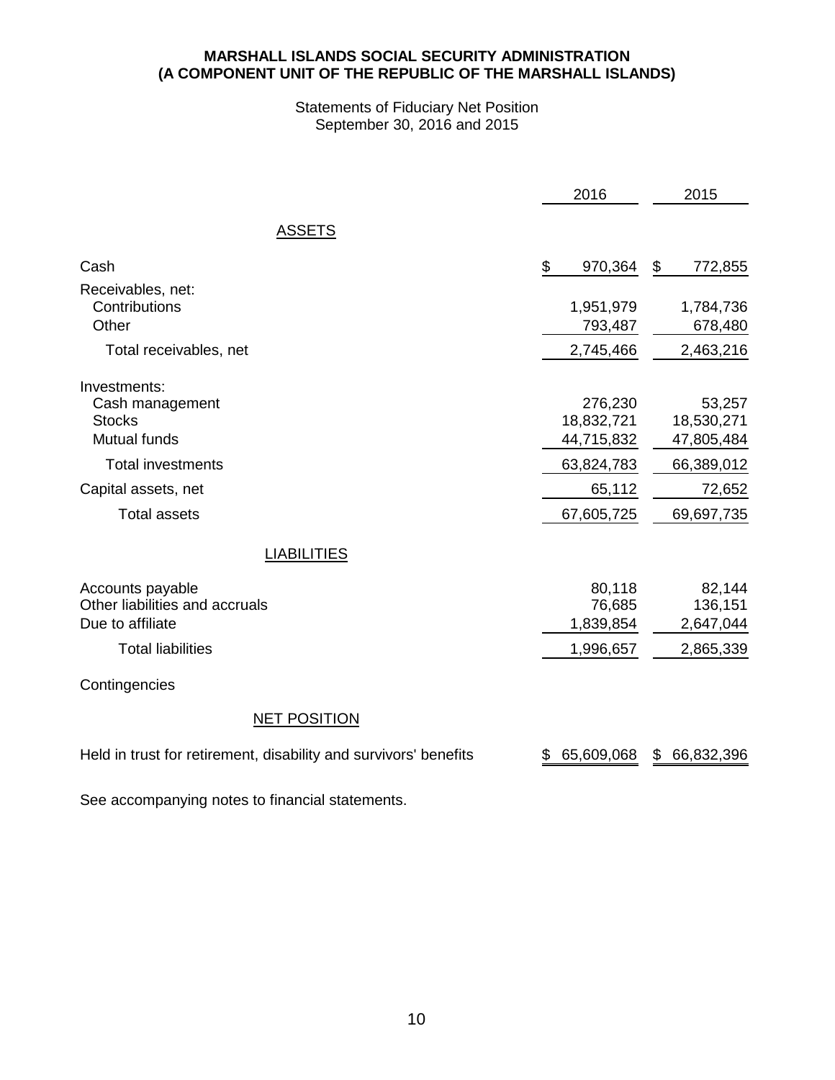# Statements of Fiduciary Net Position September 30, 2016 and 2015

|                                                                                                    | 2016                                       | 2015                                        |
|----------------------------------------------------------------------------------------------------|--------------------------------------------|---------------------------------------------|
| <b>ASSETS</b>                                                                                      |                                            |                                             |
| Cash                                                                                               | \$<br>970,364                              | $\mathfrak{F}$<br>772,855                   |
| Receivables, net:<br>Contributions<br>Other                                                        | 1,951,979<br>793,487                       | 1,784,736<br>678,480                        |
| Total receivables, net                                                                             | 2,745,466                                  | 2,463,216                                   |
| Investments:<br>Cash management<br><b>Stocks</b><br>Mutual funds                                   | 276,230<br>18,832,721<br>44,715,832        | 53,257<br>18,530,271<br>47,805,484          |
| <b>Total investments</b>                                                                           | 63,824,783                                 | 66,389,012                                  |
| Capital assets, net                                                                                | 65,112                                     | 72,652                                      |
| <b>Total assets</b>                                                                                | 67,605,725                                 | 69,697,735                                  |
| <b>LIABILITIES</b>                                                                                 |                                            |                                             |
| Accounts payable<br>Other liabilities and accruals<br>Due to affiliate<br><b>Total liabilities</b> | 80,118<br>76,685<br>1,839,854<br>1,996,657 | 82,144<br>136,151<br>2,647,044<br>2,865,339 |
| Contingencies                                                                                      |                                            |                                             |
| <b>NET POSITION</b>                                                                                |                                            |                                             |
| Held in trust for retirement, disability and survivors' benefits                                   | 65,609,068<br>£                            | \$<br>66,832,396                            |

See accompanying notes to financial statements.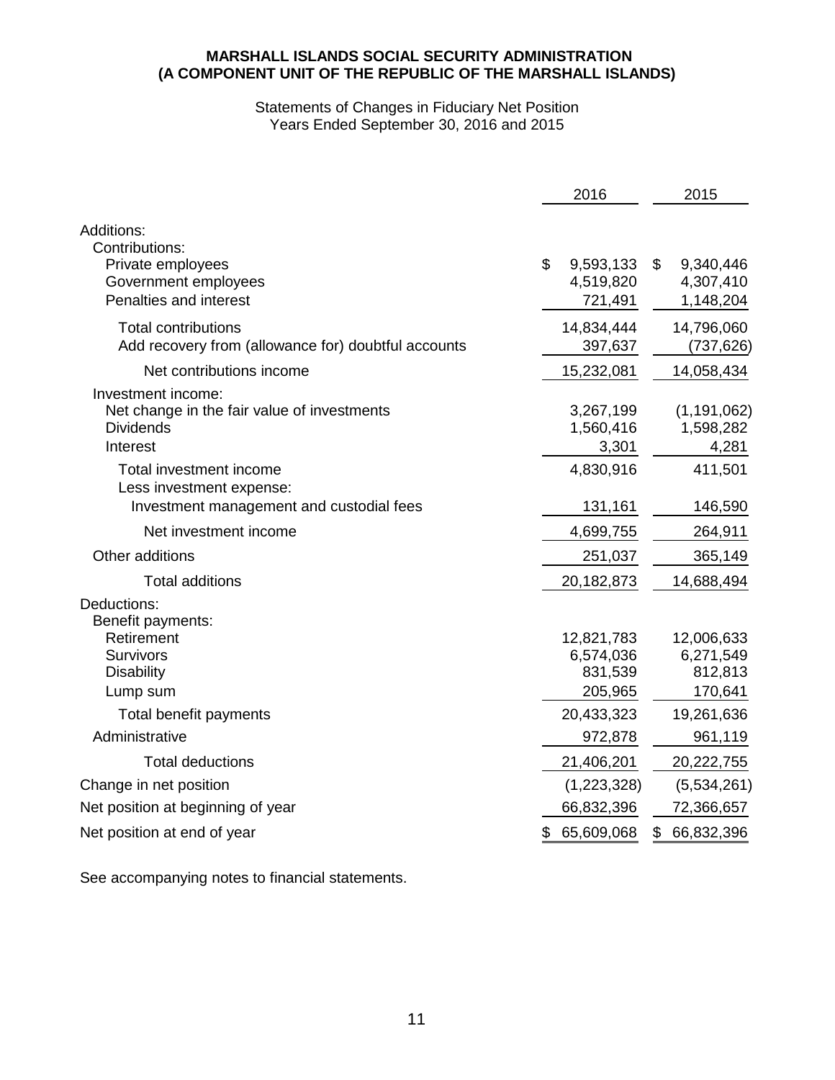# Statements of Changes in Fiduciary Net Position Years Ended September 30, 2016 and 2015

|                                                                                                   | 2016                                          | 2015                                          |
|---------------------------------------------------------------------------------------------------|-----------------------------------------------|-----------------------------------------------|
| Additions:<br>Contributions:                                                                      |                                               |                                               |
| Private employees<br>Government employees<br>Penalties and interest                               | \$<br>9,593,133<br>4,519,820<br>721,491       | \$<br>9,340,446<br>4,307,410<br>1,148,204     |
| <b>Total contributions</b><br>Add recovery from (allowance for) doubtful accounts                 | 14,834,444<br>397,637                         | 14,796,060<br>(737, 626)                      |
| Net contributions income                                                                          | 15,232,081                                    | 14,058,434                                    |
| Investment income:<br>Net change in the fair value of investments<br><b>Dividends</b><br>Interest | 3,267,199<br>1,560,416<br>3,301               | (1, 191, 062)<br>1,598,282<br>4,281           |
| Total investment income<br>Less investment expense:<br>Investment management and custodial fees   | 4,830,916<br>131,161                          | 411,501<br>146,590                            |
| Net investment income                                                                             | 4,699,755                                     | 264,911                                       |
| Other additions                                                                                   | 251,037                                       | 365,149                                       |
| <b>Total additions</b>                                                                            | 20,182,873                                    | 14,688,494                                    |
| Deductions:<br>Benefit payments:                                                                  |                                               |                                               |
| Retirement<br>Survivors<br><b>Disability</b><br>Lump sum                                          | 12,821,783<br>6,574,036<br>831,539<br>205,965 | 12,006,633<br>6,271,549<br>812,813<br>170,641 |
| Total benefit payments                                                                            | 20,433,323                                    | 19,261,636                                    |
| Administrative                                                                                    | 972,878                                       | 961,119                                       |
| <b>Total deductions</b>                                                                           | 21,406,201                                    | 20,222,755                                    |
| Change in net position                                                                            | (1,223,328)                                   | (5,534,261)                                   |
| Net position at beginning of year                                                                 | 66,832,396                                    | 72,366,657                                    |
| Net position at end of year                                                                       | 65,609,068<br>\$                              | \$<br>66,832,396                              |

See accompanying notes to financial statements.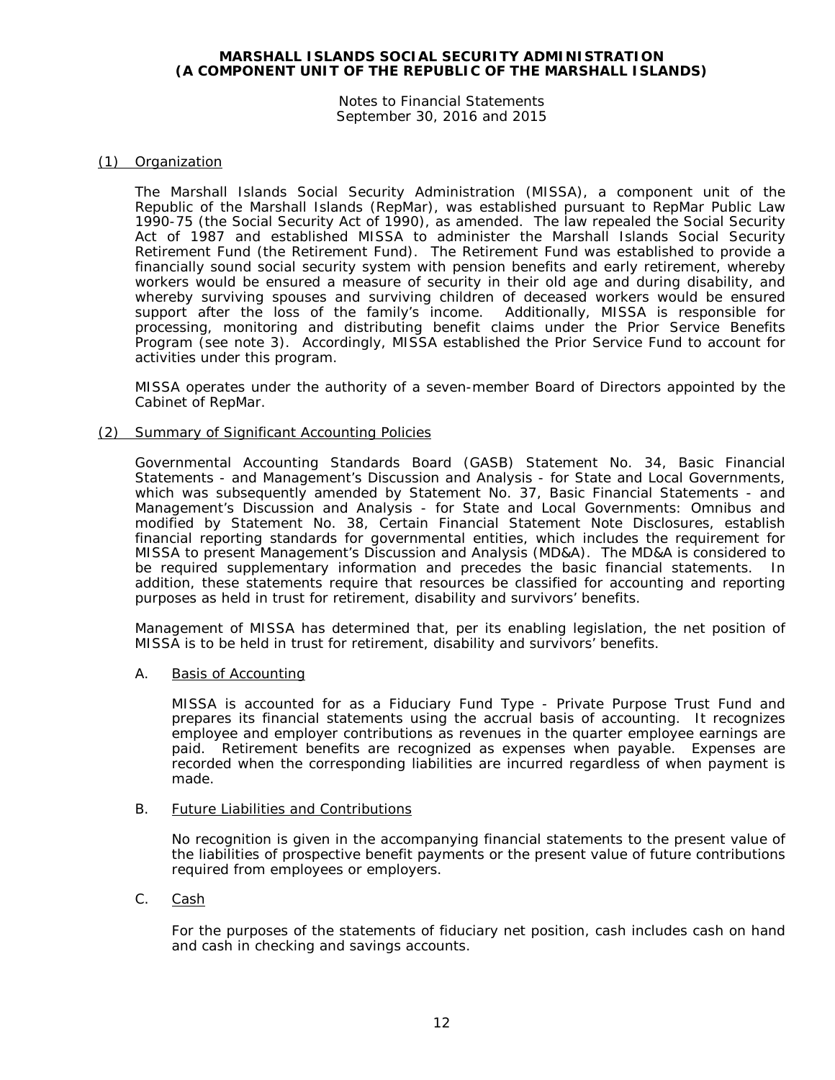Notes to Financial Statements September 30, 2016 and 2015

#### (1) Organization

The Marshall Islands Social Security Administration (MISSA), a component unit of the Republic of the Marshall Islands (RepMar), was established pursuant to RepMar Public Law 1990-75 (the Social Security Act of 1990), as amended. The law repealed the Social Security Act of 1987 and established MISSA to administer the Marshall Islands Social Security Retirement Fund (the Retirement Fund). The Retirement Fund was established to provide a financially sound social security system with pension benefits and early retirement, whereby workers would be ensured a measure of security in their old age and during disability, and whereby surviving spouses and surviving children of deceased workers would be ensured support after the loss of the family's income. Additionally, MISSA is responsible for support after the loss of the family's income. processing, monitoring and distributing benefit claims under the Prior Service Benefits Program (see note 3). Accordingly, MISSA established the Prior Service Fund to account for activities under this program.

MISSA operates under the authority of a seven-member Board of Directors appointed by the Cabinet of RepMar.

(2) Summary of Significant Accounting Policies

Governmental Accounting Standards Board (GASB) Statement No. 34, *Basic Financial Statements - and Management's Discussion and Analysis - for State and Local Governments*, which was subsequently amended by Statement No. 37, *Basic Financial Statements - and Management's Discussion and Analysis - for State and Local Governments: Omnibus* and modified by Statement No. 38, *Certain Financial Statement Note Disclosures,* establish financial reporting standards for governmental entities, which includes the requirement for MISSA to present Management's Discussion and Analysis (MD&A). The MD&A is considered to be required supplementary information and precedes the basic financial statements. In addition, these statements require that resources be classified for accounting and reporting purposes as held in trust for retirement, disability and survivors' benefits.

Management of MISSA has determined that, per its enabling legislation, the net position of MISSA is to be held in trust for retirement, disability and survivors' benefits.

#### A. Basis of Accounting

MISSA is accounted for as a Fiduciary Fund Type - Private Purpose Trust Fund and prepares its financial statements using the accrual basis of accounting. It recognizes employee and employer contributions as revenues in the quarter employee earnings are paid. Retirement benefits are recognized as expenses when payable. Expenses are recorded when the corresponding liabilities are incurred regardless of when payment is made.

#### B. Future Liabilities and Contributions

No recognition is given in the accompanying financial statements to the present value of the liabilities of prospective benefit payments or the present value of future contributions required from employees or employers.

### C. Cash

For the purposes of the statements of fiduciary net position, cash includes cash on hand and cash in checking and savings accounts.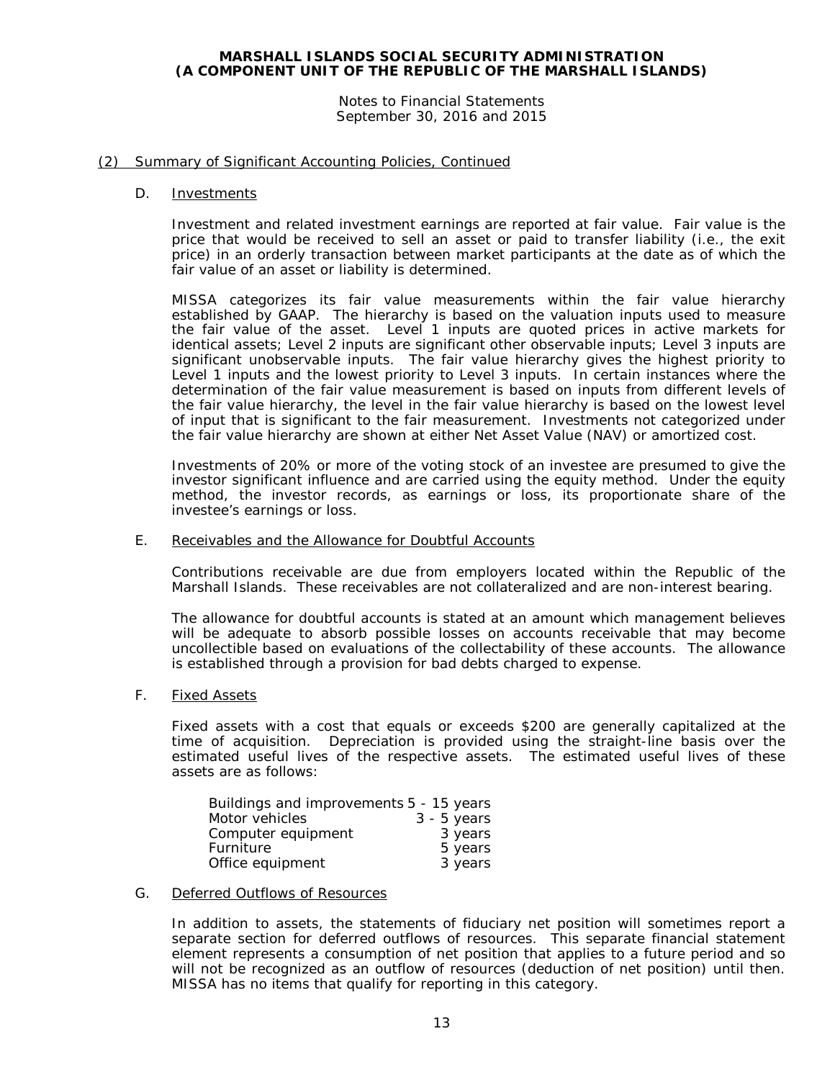Notes to Financial Statements September 30, 2016 and 2015

#### (2) Summary of Significant Accounting Policies, Continued

#### D. Investments

Investment and related investment earnings are reported at fair value. Fair value is the price that would be received to sell an asset or paid to transfer liability (i.e., the exit price) in an orderly transaction between market participants at the date as of which the fair value of an asset or liability is determined.

MISSA categorizes its fair value measurements within the fair value hierarchy established by GAAP. The hierarchy is based on the valuation inputs used to measure the fair value of the asset. Level 1 inputs are quoted prices in active markets for identical assets; Level 2 inputs are significant other observable inputs; Level 3 inputs are significant unobservable inputs. The fair value hierarchy gives the highest priority to Level 1 inputs and the lowest priority to Level 3 inputs. In certain instances where the determination of the fair value measurement is based on inputs from different levels of the fair value hierarchy, the level in the fair value hierarchy is based on the lowest level of input that is significant to the fair measurement. Investments not categorized under the fair value hierarchy are shown at either Net Asset Value (NAV) or amortized cost.

Investments of 20% or more of the voting stock of an investee are presumed to give the investor significant influence and are carried using the equity method. Under the equity method, the investor records, as earnings or loss, its proportionate share of the investee's earnings or loss.

#### E. Receivables and the Allowance for Doubtful Accounts

Contributions receivable are due from employers located within the Republic of the Marshall Islands. These receivables are not collateralized and are non-interest bearing.

The allowance for doubtful accounts is stated at an amount which management believes will be adequate to absorb possible losses on accounts receivable that may become uncollectible based on evaluations of the collectability of these accounts. The allowance is established through a provision for bad debts charged to expense.

#### F. Fixed Assets

Fixed assets with a cost that equals or exceeds \$200 are generally capitalized at the time of acquisition. Depreciation is provided using the straight-line basis over the estimated useful lives of the respective assets. The estimated useful lives of these assets are as follows:

| Buildings and improvements 5 - 15 years |               |
|-----------------------------------------|---------------|
| Motor vehicles                          | $3 - 5$ years |
| Computer equipment                      | 3 years       |
| Furniture                               | 5 years       |
| Office equipment                        | 3 years       |

#### G. Deferred Outflows of Resources

In addition to assets, the statements of fiduciary net position will sometimes report a separate section for deferred outflows of resources. This separate financial statement element represents a consumption of net position that applies to a future period and so will not be recognized as an outflow of resources (deduction of net position) until then. MISSA has no items that qualify for reporting in this category.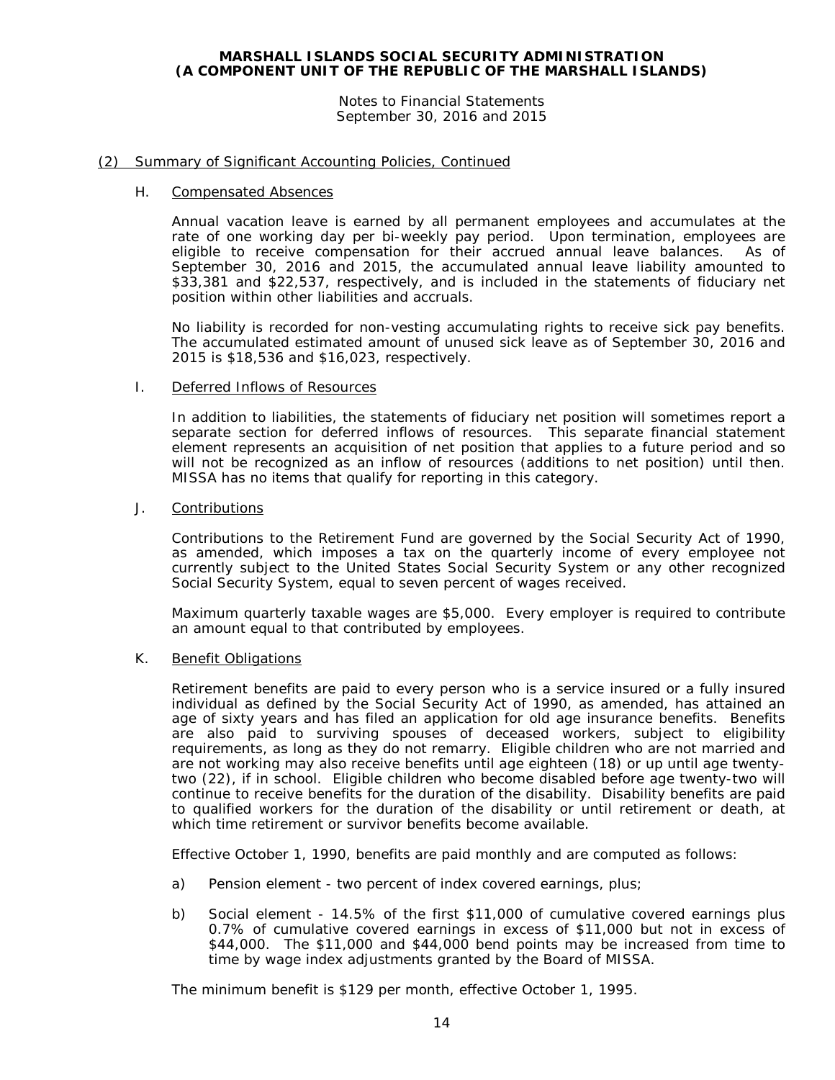Notes to Financial Statements September 30, 2016 and 2015

#### (2) Summary of Significant Accounting Policies, Continued

#### H. Compensated Absences

Annual vacation leave is earned by all permanent employees and accumulates at the rate of one working day per bi-weekly pay period. Upon termination, employees are eligible to receive compensation for their accrued annual leave balances. As of September 30, 2016 and 2015, the accumulated annual leave liability amounted to \$33,381 and \$22,537, respectively, and is included in the statements of fiduciary net position within other liabilities and accruals.

No liability is recorded for non-vesting accumulating rights to receive sick pay benefits. The accumulated estimated amount of unused sick leave as of September 30, 2016 and 2015 is \$18,536 and \$16,023, respectively.

#### I. Deferred Inflows of Resources

In addition to liabilities, the statements of fiduciary net position will sometimes report a separate section for deferred inflows of resources. This separate financial statement element represents an acquisition of net position that applies to a future period and so will not be recognized as an inflow of resources (additions to net position) until then. MISSA has no items that qualify for reporting in this category.

#### J. Contributions

Contributions to the Retirement Fund are governed by the Social Security Act of 1990, as amended, which imposes a tax on the quarterly income of every employee not currently subject to the United States Social Security System or any other recognized Social Security System, equal to seven percent of wages received.

Maximum quarterly taxable wages are \$5,000. Every employer is required to contribute an amount equal to that contributed by employees.

#### K. Benefit Obligations

Retirement benefits are paid to every person who is a service insured or a fully insured individual as defined by the Social Security Act of 1990, as amended, has attained an age of sixty years and has filed an application for old age insurance benefits. Benefits are also paid to surviving spouses of deceased workers, subject to eligibility requirements, as long as they do not remarry. Eligible children who are not married and are not working may also receive benefits until age eighteen (18) or up until age twentytwo (22), if in school. Eligible children who become disabled before age twenty-two will continue to receive benefits for the duration of the disability. Disability benefits are paid to qualified workers for the duration of the disability or until retirement or death, at which time retirement or survivor benefits become available.

Effective October 1, 1990, benefits are paid monthly and are computed as follows:

- a) Pension element two percent of index covered earnings, plus;
- b) Social element 14.5% of the first \$11,000 of cumulative covered earnings plus 0.7% of cumulative covered earnings in excess of \$11,000 but not in excess of \$44,000. The \$11,000 and \$44,000 bend points may be increased from time to time by wage index adjustments granted by the Board of MISSA.

The minimum benefit is \$129 per month, effective October 1, 1995.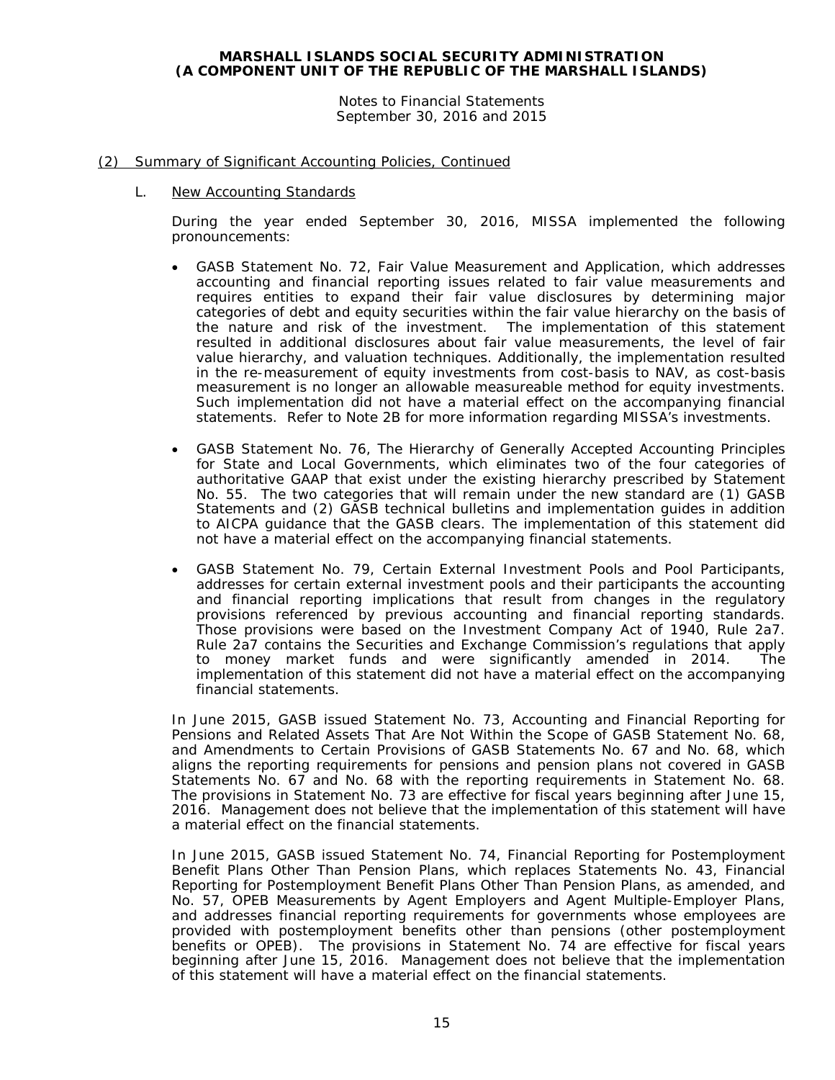Notes to Financial Statements September 30, 2016 and 2015

#### (2) Summary of Significant Accounting Policies, Continued

#### L. New Accounting Standards

During the year ended September 30, 2016, MISSA implemented the following pronouncements:

- GASB Statement No. 72, *Fair Value Measurement and Application*, which addresses accounting and financial reporting issues related to fair value measurements and requires entities to expand their fair value disclosures by determining major categories of debt and equity securities within the fair value hierarchy on the basis of the nature and risk of the investment. The implementation of this statement resulted in additional disclosures about fair value measurements, the level of fair value hierarchy, and valuation techniques. Additionally, the implementation resulted in the re-measurement of equity investments from cost-basis to NAV, as cost-basis measurement is no longer an allowable measureable method for equity investments. Such implementation did not have a material effect on the accompanying financial statements. Refer to Note 2B for more information regarding MISSA's investments.
- GASB Statement No. 76, *The Hierarchy of Generally Accepted Accounting Principles for State and Local Governments*, which eliminates two of the four categories of authoritative GAAP that exist under the existing hierarchy prescribed by Statement No. 55. The two categories that will remain under the new standard are (1) GASB Statements and (2) GASB technical bulletins and implementation guides in addition to AICPA guidance that the GASB clears. The implementation of this statement did not have a material effect on the accompanying financial statements.
- GASB Statement No. 79, *Certain External Investment Pools and Pool Participants*, addresses for certain external investment pools and their participants the accounting and financial reporting implications that result from changes in the regulatory provisions referenced by previous accounting and financial reporting standards. Those provisions were based on the Investment Company Act of 1940, Rule 2a7. Rule 2a7 contains the Securities and Exchange Commission's regulations that apply to money market funds and were significantly amended in 2014. The implementation of this statement did not have a material effect on the accompanying financial statements.

In June 2015, GASB issued Statement No. 73, *Accounting and Financial Reporting for Pensions and Related Assets That Are Not Within the Scope of GASB Statement No. 68, and Amendments to Certain Provisions of GASB Statements No. 67 and No. 68*, which aligns the reporting requirements for pensions and pension plans not covered in GASB Statements No. 67 and No. 68 with the reporting requirements in Statement No. 68. The provisions in Statement No. 73 are effective for fiscal years beginning after June 15, 2016. Management does not believe that the implementation of this statement will have a material effect on the financial statements.

In June 2015, GASB issued Statement No. 74, *Financial Reporting for Postemployment Benefit Plans Other Than Pension Plans*, which replaces Statements No. 43, *Financial Reporting for Postemployment Benefit Plans Other Than Pension Plans, as amended*, and No. 57, *OPEB Measurements by Agent Employers and Agent Multiple-Employer Plans*, and addresses financial reporting requirements for governments whose employees are provided with postemployment benefits other than pensions (other postemployment benefits or OPEB). The provisions in Statement No. 74 are effective for fiscal years beginning after June 15, 2016. Management does not believe that the implementation of this statement will have a material effect on the financial statements.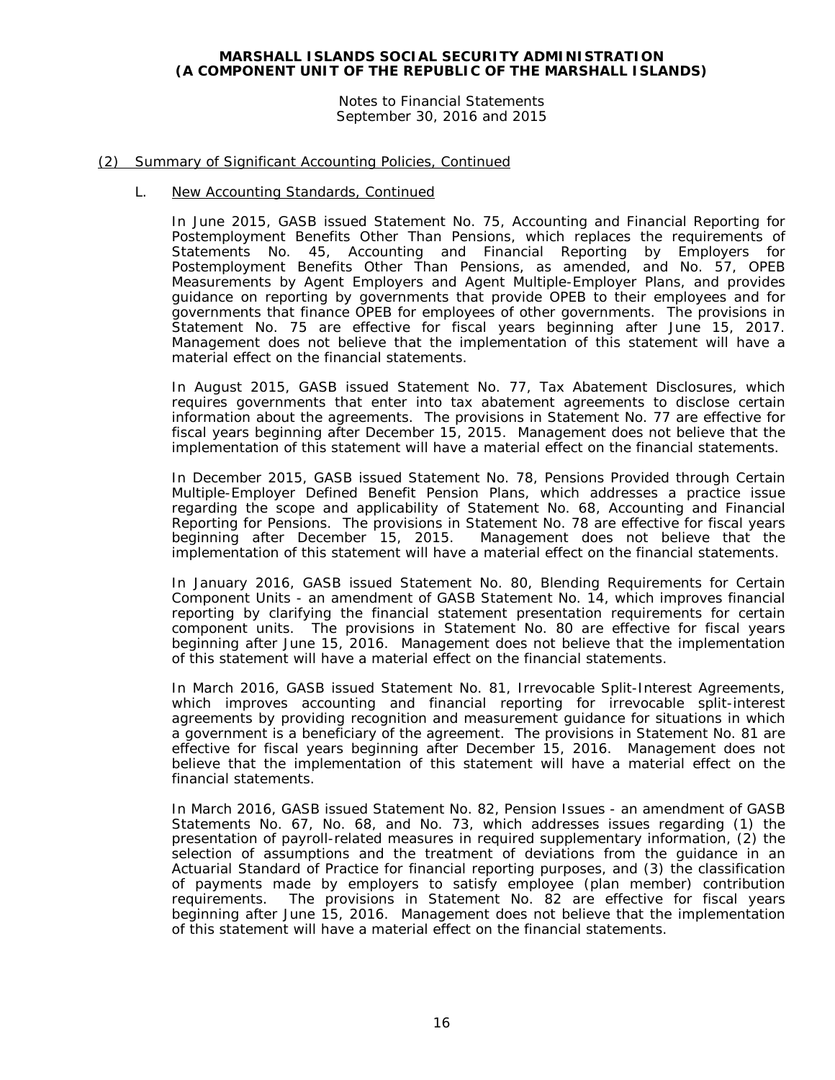Notes to Financial Statements September 30, 2016 and 2015

#### (2) Summary of Significant Accounting Policies, Continued

#### L. New Accounting Standards, Continued

In June 2015, GASB issued Statement No. 75, *Accounting and Financial Reporting for Postemployment Benefits Other Than Pensions*, which replaces the requirements of Statements No. 45, *Accounting and Financial Reporting by Employers for Postemployment Benefits Other Than Pensions, as amended*, and No. 57, *OPEB Measurements by Agent Employers and Agent Multiple-Employer Plans*, and provides guidance on reporting by governments that provide OPEB to their employees and for governments that finance OPEB for employees of other governments. The provisions in Statement No. 75 are effective for fiscal years beginning after June 15, 2017. Management does not believe that the implementation of this statement will have a material effect on the financial statements.

In August 2015, GASB issued Statement No. 77, *Tax Abatement Disclosures*, which requires governments that enter into tax abatement agreements to disclose certain information about the agreements. The provisions in Statement No. 77 are effective for fiscal years beginning after December 15, 2015. Management does not believe that the implementation of this statement will have a material effect on the financial statements.

In December 2015, GASB issued Statement No. 78, *Pensions Provided through Certain Multiple-Employer Defined Benefit Pension Plans*, which addresses a practice issue regarding the scope and applicability of Statement No. 68, *Accounting and Financial Reporting for Pensions*. The provisions in Statement No. 78 are effective for fiscal years beginning after December 15, 2015. implementation of this statement will have a material effect on the financial statements.

In January 2016, GASB issued Statement No. 80, *Blending Requirements for Certain Component Units - an amendment of GASB Statement No. 14*, which improves financial reporting by clarifying the financial statement presentation requirements for certain component units. The provisions in Statement No. 80 are effective for fiscal years beginning after June 15, 2016. Management does not believe that the implementation of this statement will have a material effect on the financial statements.

In March 2016, GASB issued Statement No. 81, *Irrevocable Split-Interest Agreements*, which improves accounting and financial reporting for irrevocable split-interest agreements by providing recognition and measurement guidance for situations in which a government is a beneficiary of the agreement. The provisions in Statement No. 81 are effective for fiscal years beginning after December 15, 2016. Management does not believe that the implementation of this statement will have a material effect on the financial statements.

In March 2016, GASB issued Statement No. 82, *Pension Issues - an amendment of GASB Statements No. 67, No. 68, and No. 73*, which addresses issues regarding (1) the presentation of payroll-related measures in required supplementary information, (2) the selection of assumptions and the treatment of deviations from the guidance in an Actuarial Standard of Practice for financial reporting purposes, and (3) the classification of payments made by employers to satisfy employee (plan member) contribution requirements. The provisions in Statement No. 82 are effective for fiscal years beginning after June 15, 2016. Management does not believe that the implementation of this statement will have a material effect on the financial statements.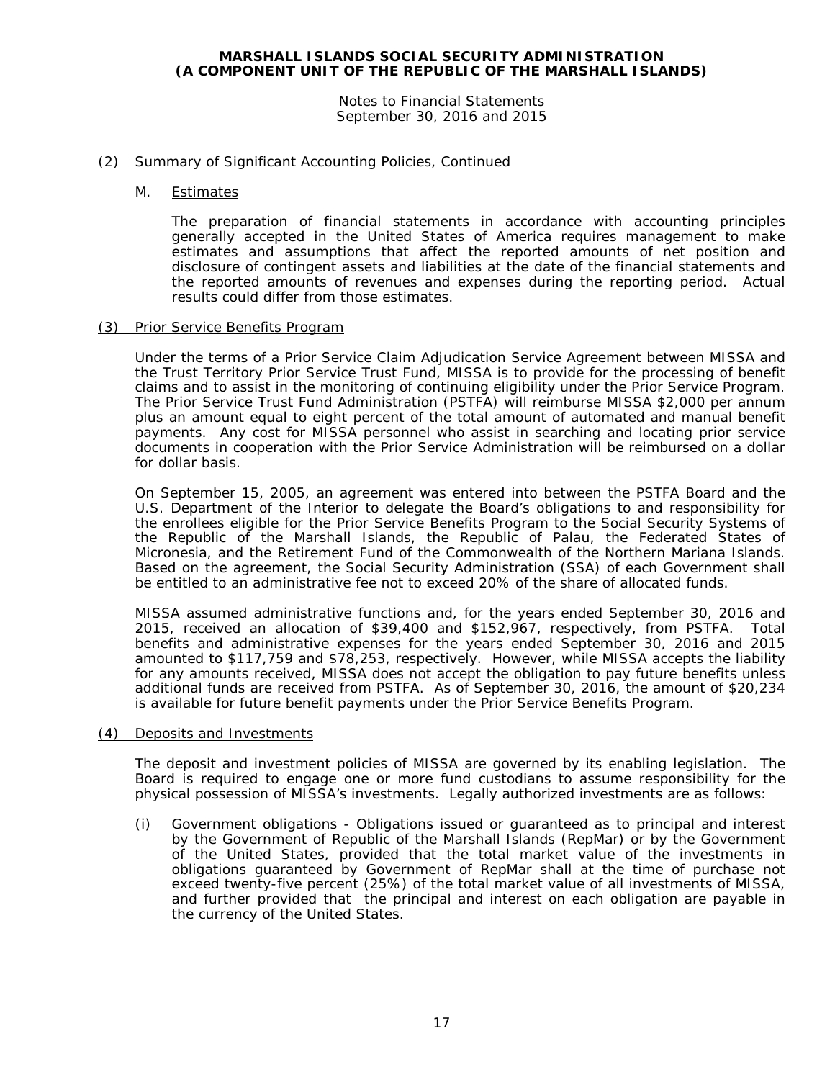Notes to Financial Statements September 30, 2016 and 2015

#### (2) Summary of Significant Accounting Policies, Continued

#### M. Estimates

The preparation of financial statements in accordance with accounting principles generally accepted in the United States of America requires management to make estimates and assumptions that affect the reported amounts of net position and disclosure of contingent assets and liabilities at the date of the financial statements and the reported amounts of revenues and expenses during the reporting period. Actual results could differ from those estimates.

#### (3) Prior Service Benefits Program

Under the terms of a Prior Service Claim Adjudication Service Agreement between MISSA and the Trust Territory Prior Service Trust Fund, MISSA is to provide for the processing of benefit claims and to assist in the monitoring of continuing eligibility under the Prior Service Program. The Prior Service Trust Fund Administration (PSTFA) will reimburse MISSA \$2,000 per annum plus an amount equal to eight percent of the total amount of automated and manual benefit payments. Any cost for MISSA personnel who assist in searching and locating prior service documents in cooperation with the Prior Service Administration will be reimbursed on a dollar for dollar basis.

On September 15, 2005, an agreement was entered into between the PSTFA Board and the U.S. Department of the Interior to delegate the Board's obligations to and responsibility for the enrollees eligible for the Prior Service Benefits Program to the Social Security Systems of the Republic of the Marshall Islands, the Republic of Palau, the Federated States of Micronesia, and the Retirement Fund of the Commonwealth of the Northern Mariana Islands. Based on the agreement, the Social Security Administration (SSA) of each Government shall be entitled to an administrative fee not to exceed 20% of the share of allocated funds.

MISSA assumed administrative functions and, for the years ended September 30, 2016 and 2015, received an allocation of \$39,400 and \$152,967, respectively, from PSTFA. Total benefits and administrative expenses for the years ended September 30, 2016 and 2015 amounted to \$117,759 and \$78,253, respectively. However, while MISSA accepts the liability for any amounts received, MISSA does not accept the obligation to pay future benefits unless additional funds are received from PSTFA. As of September 30, 2016, the amount of \$20,234 is available for future benefit payments under the Prior Service Benefits Program.

#### (4) Deposits and Investments

The deposit and investment policies of MISSA are governed by its enabling legislation. The Board is required to engage one or more fund custodians to assume responsibility for the physical possession of MISSA's investments. Legally authorized investments are as follows:

(i) Government obligations - Obligations issued or guaranteed as to principal and interest by the Government of Republic of the Marshall Islands (RepMar) or by the Government of the United States, provided that the total market value of the investments in obligations guaranteed by Government of RepMar shall at the time of purchase not exceed twenty-five percent (25%) of the total market value of all investments of MISSA, and further provided that the principal and interest on each obligation are payable in the currency of the United States.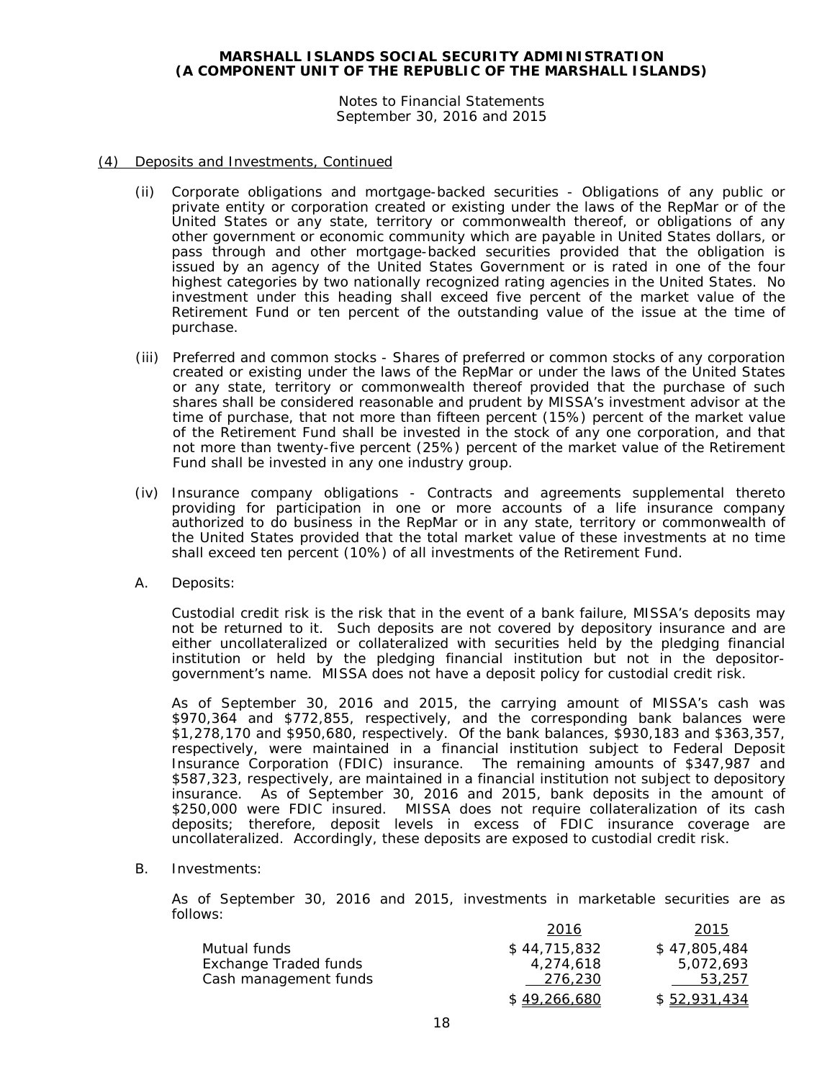Notes to Financial Statements September 30, 2016 and 2015

#### (4) Deposits and Investments, Continued

- (ii) Corporate obligations and mortgage-backed securities Obligations of any public or private entity or corporation created or existing under the laws of the RepMar or of the United States or any state, territory or commonwealth thereof, or obligations of any other government or economic community which are payable in United States dollars, or pass through and other mortgage-backed securities provided that the obligation is issued by an agency of the United States Government or is rated in one of the four highest categories by two nationally recognized rating agencies in the United States. No investment under this heading shall exceed five percent of the market value of the Retirement Fund or ten percent of the outstanding value of the issue at the time of purchase.
- (iii) Preferred and common stocks Shares of preferred or common stocks of any corporation created or existing under the laws of the RepMar or under the laws of the United States or any state, territory or commonwealth thereof provided that the purchase of such shares shall be considered reasonable and prudent by MISSA's investment advisor at the time of purchase, that not more than fifteen percent (15%) percent of the market value of the Retirement Fund shall be invested in the stock of any one corporation, and that not more than twenty-five percent (25%) percent of the market value of the Retirement Fund shall be invested in any one industry group.
- (iv) Insurance company obligations Contracts and agreements supplemental thereto providing for participation in one or more accounts of a life insurance company authorized to do business in the RepMar or in any state, territory or commonwealth of the United States provided that the total market value of these investments at no time shall exceed ten percent (10%) of all investments of the Retirement Fund.
- A. Deposits:

Custodial credit risk is the risk that in the event of a bank failure, MISSA's deposits may not be returned to it. Such deposits are not covered by depository insurance and are either uncollateralized or collateralized with securities held by the pledging financial institution or held by the pledging financial institution but not in the depositorgovernment's name. MISSA does not have a deposit policy for custodial credit risk.

As of September 30, 2016 and 2015, the carrying amount of MISSA's cash was \$970,364 and \$772,855, respectively, and the corresponding bank balances were \$1,278,170 and \$950,680, respectively. Of the bank balances, \$930,183 and \$363,357, respectively, were maintained in a financial institution subject to Federal Deposit Insurance Corporation (FDIC) insurance. The remaining amounts of \$347,987 and \$587,323, respectively, are maintained in a financial institution not subject to depository insurance. As of September 30, 2016 and 2015, bank deposits in the amount of \$250,000 were FDIC insured. MISSA does not require collateralization of its cash deposits; therefore, deposit levels in excess of FDIC insurance coverage are uncollateralized. Accordingly, these deposits are exposed to custodial credit risk.

B. Investments:

As of September 30, 2016 and 2015, investments in marketable securities are as follows:

|                       | 2016         | 2015         |
|-----------------------|--------------|--------------|
| Mutual funds          | \$44.715.832 | \$47,805,484 |
| Exchange Traded funds | 4.274.618    | 5.072.693    |
| Cash management funds | 276,230      | 53,257       |
|                       | \$49,266,680 | \$52.931.434 |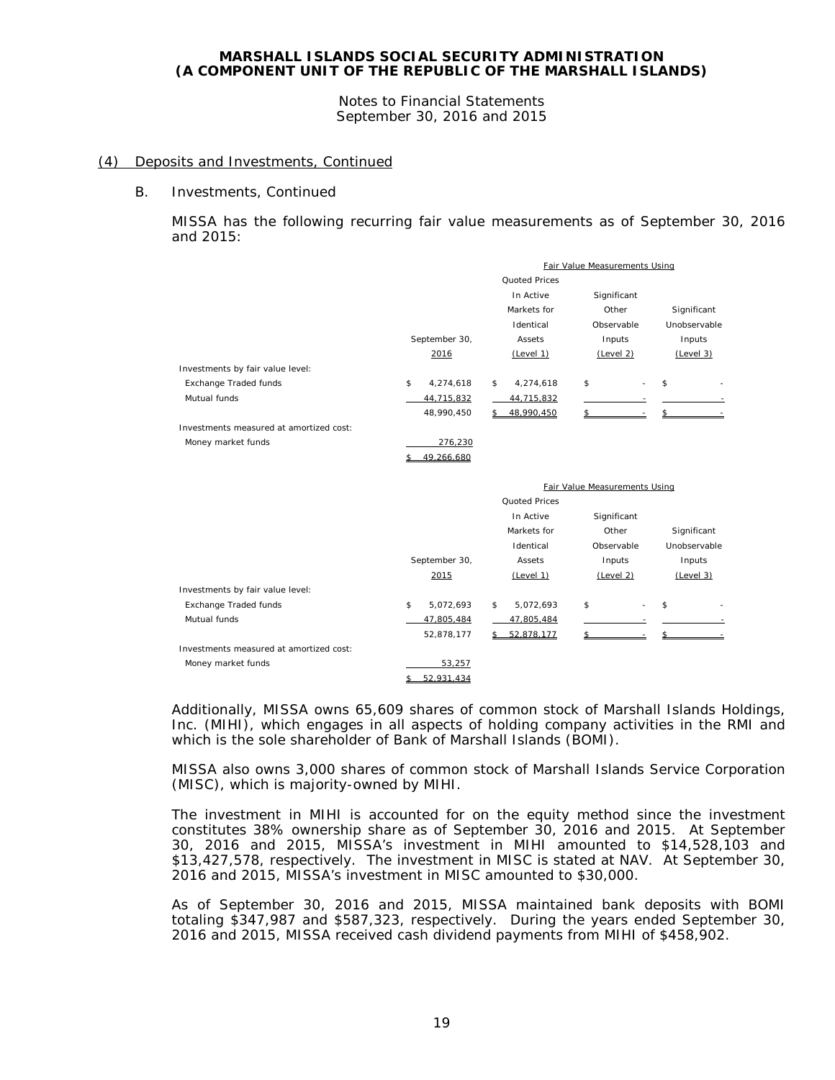Notes to Financial Statements September 30, 2016 and 2015

#### (4) Deposits and Investments, Continued

#### B. Investments, Continued

MISSA has the following recurring fair value measurements as of September 30, 2016 and 2015:

|                                         |                  |                      | Fair Value Measurements Using |              |
|-----------------------------------------|------------------|----------------------|-------------------------------|--------------|
|                                         |                  | <b>Quoted Prices</b> |                               |              |
|                                         |                  | In Active            | Significant                   |              |
|                                         |                  | Markets for          | Other                         | Significant  |
|                                         |                  | Identical            | Observable                    | Unobservable |
|                                         | September 30,    | Assets               | Inputs                        | Inputs       |
|                                         | 2016             | (Level 1)            | (Level 2)                     | (Level 3)    |
| Investments by fair value level:        |                  |                      |                               |              |
| Exchange Traded funds                   | \$<br>4,274,618  | 4,274,618<br>\$      | \$                            | \$           |
| Mutual funds                            | 44,715,832       | 44,715,832           |                               |              |
|                                         | 48,990,450       | 48,990,450<br>\$     | \$                            | \$           |
| Investments measured at amortized cost: |                  |                      |                               |              |
| Money market funds                      | 276,230          |                      |                               |              |
|                                         | 49,266,680<br>\$ |                      |                               |              |
|                                         |                  |                      |                               |              |
|                                         |                  |                      | Fair Value Measurements Using |              |
|                                         |                  | <b>Ouoted Prices</b> |                               |              |
|                                         |                  | In Active            | Significant                   |              |
|                                         |                  | Markets for          | Other                         | Significant  |
|                                         |                  | Identical            | Observable                    | Unobservable |
|                                         | September 30,    | Assets               | Inputs                        | Inputs       |
|                                         | 2015             | (Level 1)            | (Level 2)                     | (Level 3)    |
| Investments by fair value level:        |                  |                      |                               |              |
| Exchange Traded funds                   | \$<br>5,072,693  | \$<br>5,072,693      | \$                            | \$           |
| Mutual funds                            | 47,805,484       | 47,805,484           |                               |              |
|                                         | 52,878,177       | 52,878,177<br>\$     |                               | \$           |
| Investments measured at amortized cost: |                  |                      |                               |              |
| Money market funds                      | 53,257           |                      |                               |              |
|                                         | 52.931.434<br>\$ |                      |                               |              |

Additionally, MISSA owns 65,609 shares of common stock of Marshall Islands Holdings, Inc. (MIHI), which engages in all aspects of holding company activities in the RMI and which is the sole shareholder of Bank of Marshall Islands (BOMI).

MISSA also owns 3,000 shares of common stock of Marshall Islands Service Corporation (MISC), which is majority-owned by MIHI.

The investment in MIHI is accounted for on the equity method since the investment constitutes 38% ownership share as of September 30, 2016 and 2015. At September 30, 2016 and 2015, MISSA's investment in MIHI amounted to \$14,528,103 and \$13,427,578, respectively. The investment in MISC is stated at NAV. At September 30, 2016 and 2015, MISSA's investment in MISC amounted to \$30,000.

As of September 30, 2016 and 2015, MISSA maintained bank deposits with BOMI totaling \$347,987 and \$587,323, respectively. During the years ended September 30, 2016 and 2015, MISSA received cash dividend payments from MIHI of \$458,902.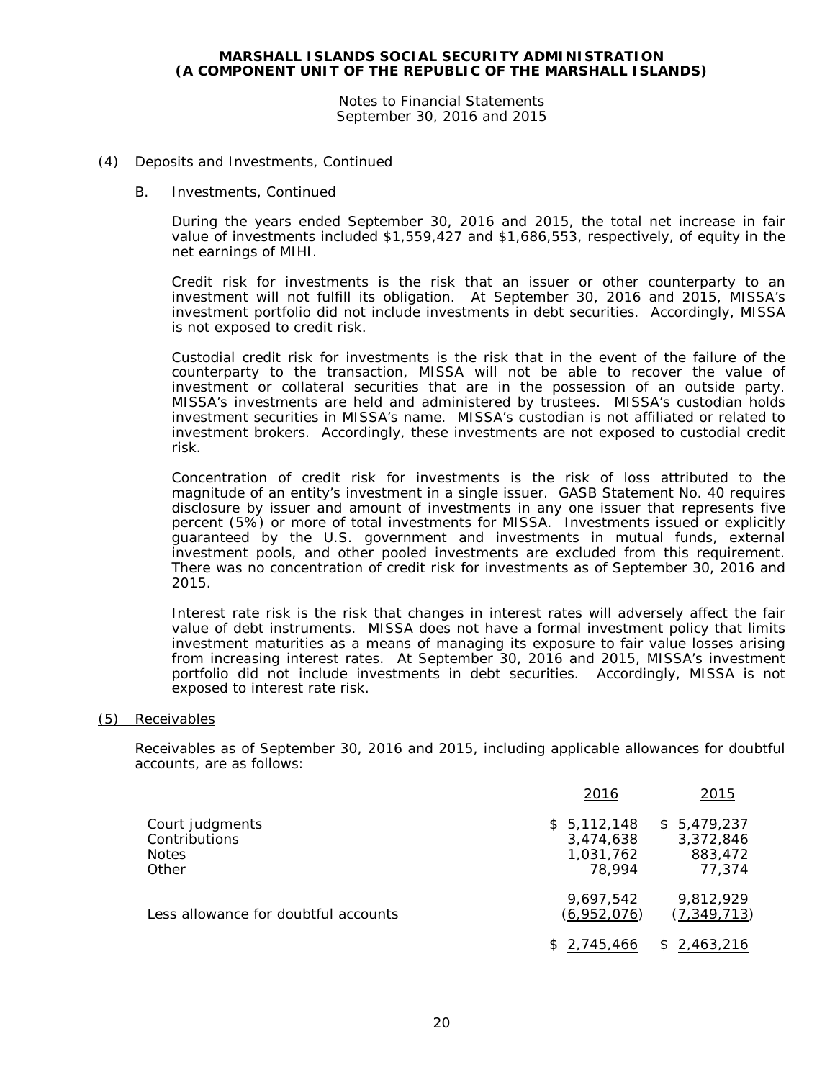Notes to Financial Statements September 30, 2016 and 2015

#### (4) Deposits and Investments, Continued

B. Investments, Continued

During the years ended September 30, 2016 and 2015, the total net increase in fair value of investments included \$1,559,427 and \$1,686,553, respectively, of equity in the net earnings of MIHI.

Credit risk for investments is the risk that an issuer or other counterparty to an investment will not fulfill its obligation. At September 30, 2016 and 2015, MISSA's investment portfolio did not include investments in debt securities. Accordingly, MISSA is not exposed to credit risk.

Custodial credit risk for investments is the risk that in the event of the failure of the counterparty to the transaction, MISSA will not be able to recover the value of investment or collateral securities that are in the possession of an outside party. MISSA's investments are held and administered by trustees. MISSA's custodian holds investment securities in MISSA's name. MISSA's custodian is not affiliated or related to investment brokers. Accordingly, these investments are not exposed to custodial credit risk.

Concentration of credit risk for investments is the risk of loss attributed to the magnitude of an entity's investment in a single issuer. GASB Statement No. 40 requires disclosure by issuer and amount of investments in any one issuer that represents five percent (5%) or more of total investments for MISSA. Investments issued or explicitly guaranteed by the U.S. government and investments in mutual funds, external investment pools, and other pooled investments are excluded from this requirement. There was no concentration of credit risk for investments as of September 30, 2016 and 2015.

Interest rate risk is the risk that changes in interest rates will adversely affect the fair value of debt instruments. MISSA does not have a formal investment policy that limits investment maturities as a means of managing its exposure to fair value losses arising from increasing interest rates. At September 30, 2016 and 2015, MISSA's investment portfolio did not include investments in debt securities. Accordingly, MISSA is not exposed to interest rate risk.

#### (5) Receivables

Receivables as of September 30, 2016 and 2015, including applicable allowances for doubtful accounts, are as follows:

|                                                    | 2016                                            | 2015                                          |
|----------------------------------------------------|-------------------------------------------------|-----------------------------------------------|
| Court judgments<br>Contributions<br>Notes<br>Other | \$5,112,148<br>3.474.638<br>1,031,762<br>78.994 | \$5,479,237<br>3,372,846<br>883,472<br>77,374 |
| Less allowance for doubtful accounts               | 9.697.542<br>(6,952,076)                        | 9,812,929<br>(7, 349, 713)                    |
|                                                    | \$2,745,466                                     | \$2,463,216                                   |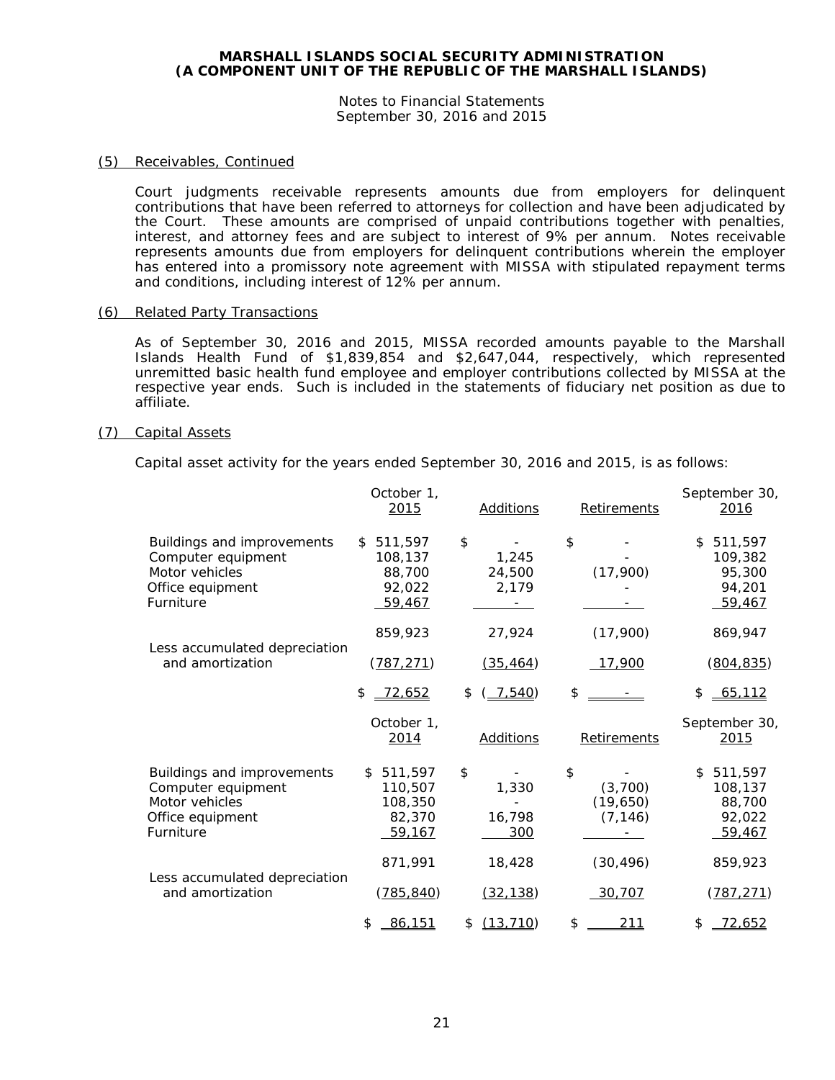Notes to Financial Statements September 30, 2016 and 2015

#### (5) Receivables, Continued

Court judgments receivable represents amounts due from employers for delinquent contributions that have been referred to attorneys for collection and have been adjudicated by the Court. These amounts are comprised of unpaid contributions together with penalties, interest, and attorney fees and are subject to interest of 9% per annum. Notes receivable represents amounts due from employers for delinquent contributions wherein the employer has entered into a promissory note agreement with MISSA with stipulated repayment terms and conditions, including interest of 12% per annum.

#### (6) Related Party Transactions

As of September 30, 2016 and 2015, MISSA recorded amounts payable to the Marshall Islands Health Fund of \$1,839,854 and \$2,647,044, respectively, which represented unremitted basic health fund employee and employer contributions collected by MISSA at the respective year ends. Such is included in the statements of fiduciary net position as due to affiliate.

#### (7) Capital Assets

Capital asset activity for the years ended September 30, 2016 and 2015, is as follows:

|                                                                                                     | October 1,<br>2015                                     | <b>Additions</b>                         | Retirements                           | September 30,<br>2016                                  |
|-----------------------------------------------------------------------------------------------------|--------------------------------------------------------|------------------------------------------|---------------------------------------|--------------------------------------------------------|
| Buildings and improvements<br>Computer equipment<br>Motor vehicles<br>Office equipment<br>Furniture | 511,597<br>\$<br>108,137<br>88,700<br>92,022<br>59,467 | \$<br>1,245<br>24,500<br>2,179<br>$\sim$ | \$<br>(17,900)                        | 511,597<br>\$<br>109,382<br>95,300<br>94,201<br>59,467 |
| Less accumulated depreciation                                                                       | 859,923                                                | 27,924                                   | (17,900)                              | 869,947                                                |
| and amortization                                                                                    | (787, 271)                                             | (35, 464)                                | 17,900                                | (804, 835)                                             |
|                                                                                                     | \$<br>72,652                                           | (7, 540)<br>\$                           | \$                                    | 65,112<br>\$                                           |
|                                                                                                     |                                                        |                                          |                                       |                                                        |
|                                                                                                     | October 1,<br>2014                                     | <b>Additions</b>                         | Retirements                           | September 30,<br>2015                                  |
| Buildings and improvements<br>Computer equipment<br>Motor vehicles<br>Office equipment<br>Furniture | \$511,597<br>110,507<br>108,350<br>82,370<br>59,167    | \$<br>1,330<br>16,798<br>300             | \$<br>(3,700)<br>(19,650)<br>(7, 146) | 511,597<br>\$<br>108,137<br>88,700<br>92,022<br>59,467 |
|                                                                                                     | 871,991                                                | 18,428                                   | (30, 496)                             | 859,923                                                |
| Less accumulated depreciation<br>and amortization                                                   | (785,840)                                              | (32, 138)                                | 30,707                                | ( <u>787,271</u> )                                     |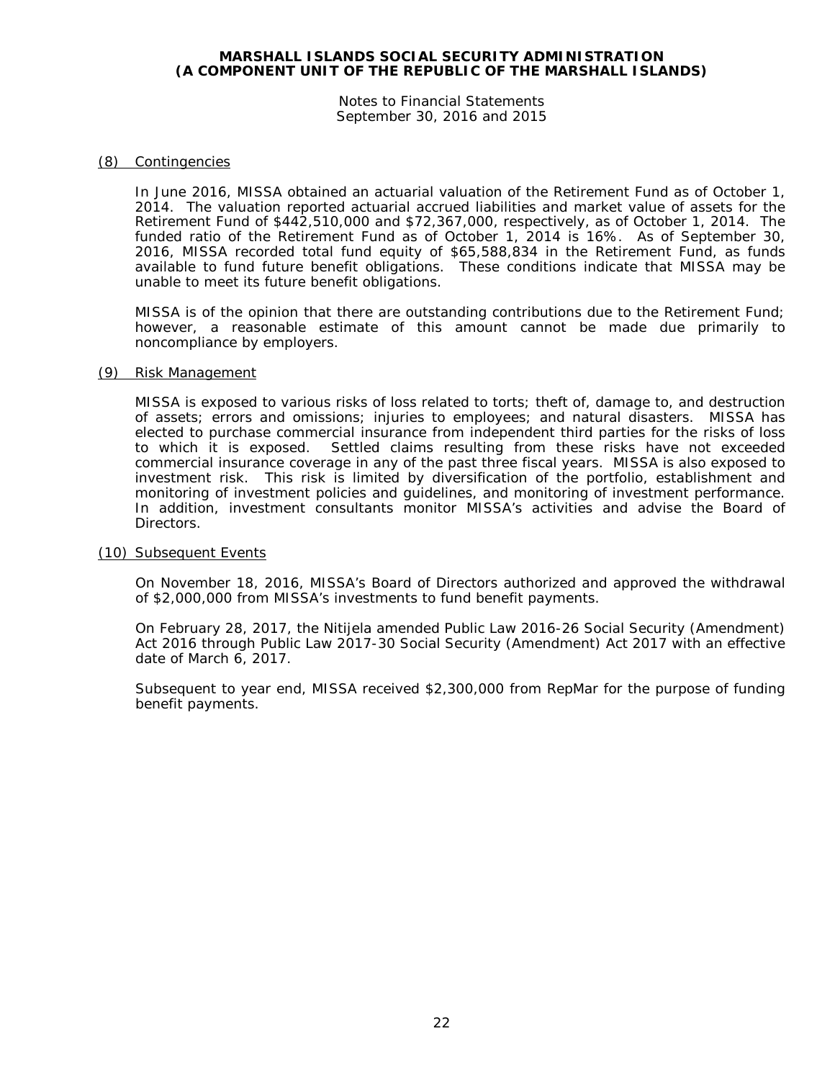Notes to Financial Statements September 30, 2016 and 2015

#### (8) Contingencies

In June 2016, MISSA obtained an actuarial valuation of the Retirement Fund as of October 1, 2014. The valuation reported actuarial accrued liabilities and market value of assets for the Retirement Fund of \$442,510,000 and \$72,367,000, respectively, as of October 1, 2014. The funded ratio of the Retirement Fund as of October 1, 2014 is 16%. As of September 30, 2016, MISSA recorded total fund equity of \$65,588,834 in the Retirement Fund, as funds available to fund future benefit obligations. These conditions indicate that MISSA may be unable to meet its future benefit obligations.

MISSA is of the opinion that there are outstanding contributions due to the Retirement Fund; however, a reasonable estimate of this amount cannot be made due primarily to noncompliance by employers.

#### (9) Risk Management

MISSA is exposed to various risks of loss related to torts; theft of, damage to, and destruction of assets; errors and omissions; injuries to employees; and natural disasters. MISSA has elected to purchase commercial insurance from independent third parties for the risks of loss to which it is exposed. Settled claims resulting from these risks have not exceeded commercial insurance coverage in any of the past three fiscal years. MISSA is also exposed to investment risk. This risk is limited by diversification of the portfolio, establishment and monitoring of investment policies and guidelines, and monitoring of investment performance. In addition, investment consultants monitor MISSA's activities and advise the Board of Directors.

#### (10) Subsequent Events

On November 18, 2016, MISSA's Board of Directors authorized and approved the withdrawal of \$2,000,000 from MISSA's investments to fund benefit payments.

On February 28, 2017, the Nitijela amended Public Law 2016-26 *Social Security (Amendment) Act 2016* through Public Law 2017-30 *Social Security (Amendment) Act 2017* with an effective date of March 6, 2017.

Subsequent to year end, MISSA received \$2,300,000 from RepMar for the purpose of funding benefit payments.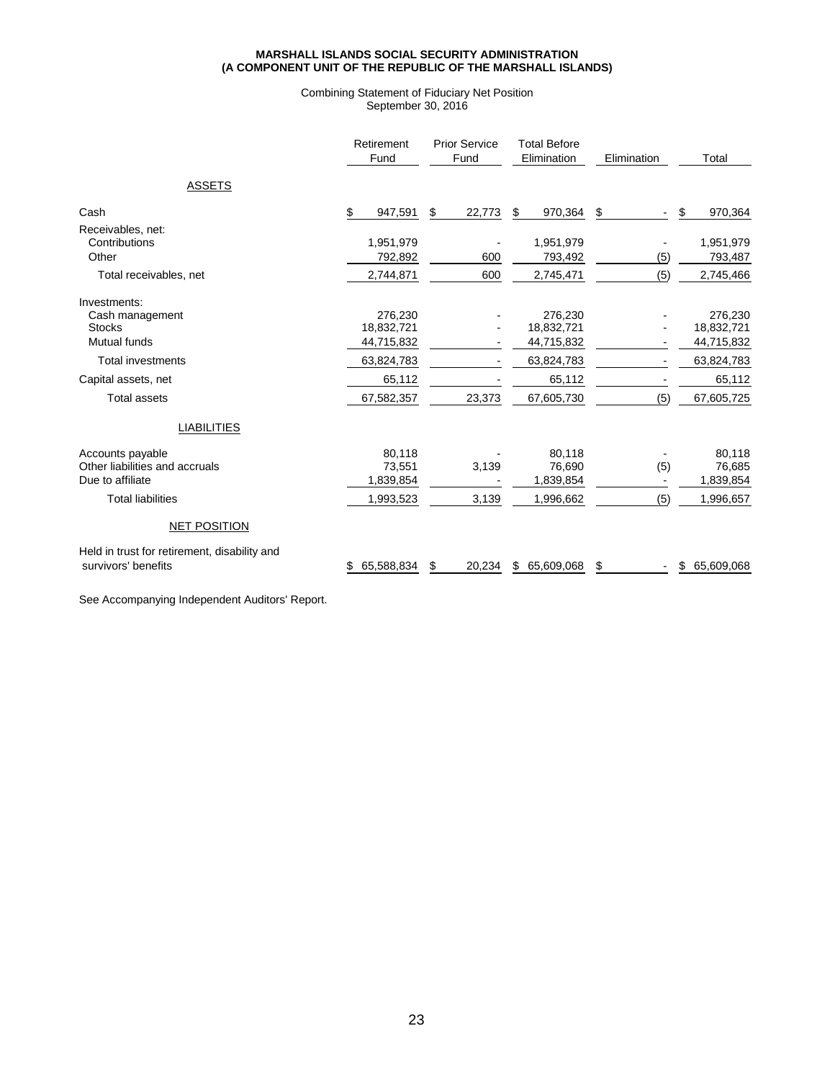#### Combining Statement of Fiduciary Net Position September 30, 2016

|                                              | Retirement<br>Fund       | <b>Prior Service</b><br>Fund | <b>Total Before</b><br>Elimination | Elimination | Total                    |
|----------------------------------------------|--------------------------|------------------------------|------------------------------------|-------------|--------------------------|
| <b>ASSETS</b>                                |                          |                              |                                    |             |                          |
| Cash                                         | \$<br>947,591            | \$<br>22,773                 | \$<br>970,364                      | \$          | \$<br>970,364            |
| Receivables, net:<br>Contributions           | 1,951,979                |                              | 1,951,979                          |             |                          |
| Other                                        | 792,892                  | 600                          | 793,492                            | (5)         | 1,951,979<br>793,487     |
| Total receivables, net                       | 2,744,871                | 600                          | 2,745,471                          | (5)         | 2,745,466                |
| Investments:                                 |                          |                              |                                    |             |                          |
| Cash management                              | 276.230                  |                              | 276,230                            |             | 276,230                  |
| <b>Stocks</b><br>Mutual funds                | 18,832,721<br>44,715,832 |                              | 18,832,721<br>44,715,832           |             | 18,832,721<br>44,715,832 |
| <b>Total investments</b>                     | 63,824,783               |                              | 63,824,783                         |             | 63,824,783               |
| Capital assets, net                          | 65,112                   |                              | 65,112                             |             | 65,112                   |
| <b>Total assets</b>                          | 67,582,357               | 23,373                       | 67,605,730                         | (5)         | 67,605,725               |
| <b>LIABILITIES</b>                           |                          |                              |                                    |             |                          |
| Accounts payable                             | 80.118                   |                              | 80,118                             |             | 80,118                   |
| Other liabilities and accruals               | 73,551                   | 3,139                        | 76,690                             | (5)         | 76,685                   |
| Due to affiliate                             | 1,839,854                |                              | 1,839,854                          |             | 1,839,854                |
| <b>Total liabilities</b>                     | 1,993,523                | 3,139                        | 1,996,662                          | (5)         | 1,996,657                |
| <b>NET POSITION</b>                          |                          |                              |                                    |             |                          |
| Held in trust for retirement, disability and |                          |                              |                                    |             |                          |
| survivors' benefits                          | 65,588,834<br>\$         | \$<br>20,234                 | \$<br>65,609,068                   | \$          | 65,609,068<br>S.         |

See Accompanying Independent Auditors' Report.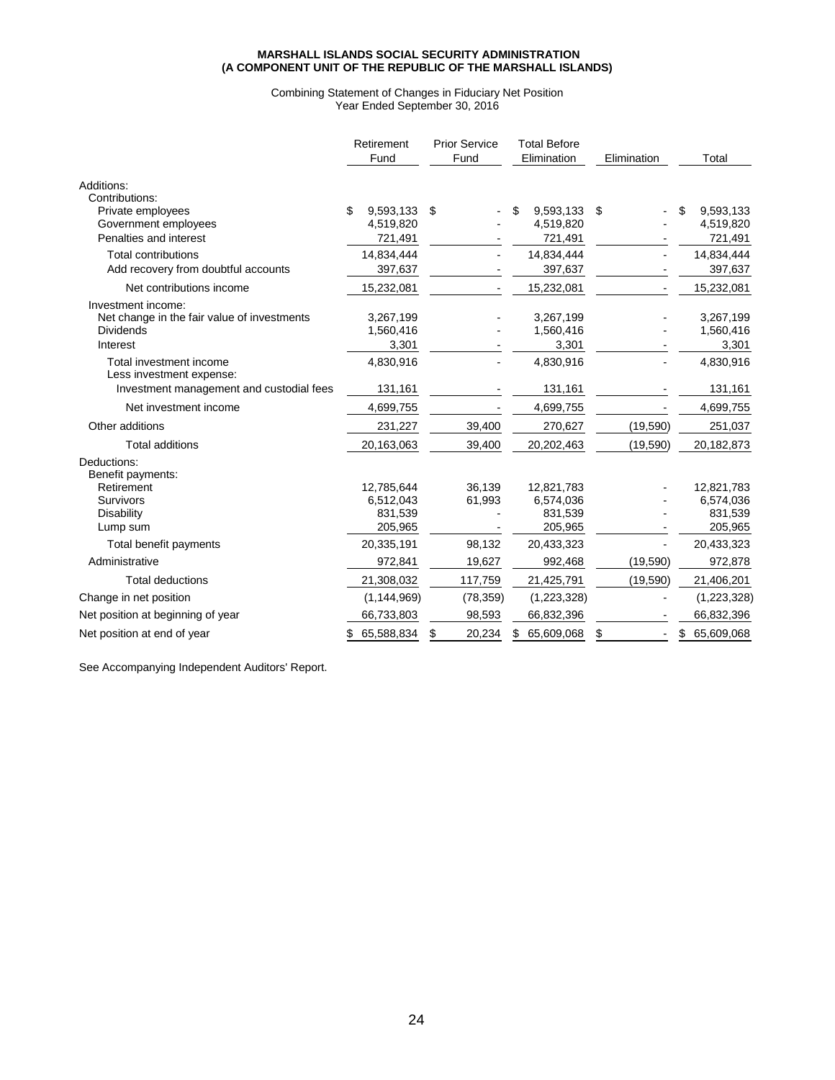#### Combining Statement of Changes in Fiduciary Net Position Year Ended September 30, 2016

|                                                     | Retirement<br>Fund | <b>Prior Service</b><br>Fund | <b>Total Before</b><br>Elimination | Elimination | Total            |
|-----------------------------------------------------|--------------------|------------------------------|------------------------------------|-------------|------------------|
| Additions:                                          |                    |                              |                                    |             |                  |
| Contributions:<br>Private employees                 | \$<br>9,593,133    | \$                           | \$<br>9,593,133                    | - \$        | \$<br>9,593,133  |
| Government employees                                | 4,519,820          |                              | 4,519,820                          |             | 4,519,820        |
| Penalties and interest                              | 721,491            |                              | 721,491                            |             | 721,491          |
| <b>Total contributions</b>                          | 14,834,444         |                              | 14,834,444                         |             | 14,834,444       |
| Add recovery from doubtful accounts                 | 397,637            |                              | 397,637                            |             | 397,637          |
| Net contributions income                            | 15,232,081         |                              | 15,232,081                         |             | 15,232,081       |
| Investment income:                                  |                    |                              |                                    |             |                  |
| Net change in the fair value of investments         | 3,267,199          |                              | 3,267,199                          |             | 3,267,199        |
| <b>Dividends</b>                                    | 1,560,416          |                              | 1,560,416                          |             | 1,560,416        |
| Interest                                            | 3,301              |                              | 3,301                              |             | 3,301            |
| Total investment income<br>Less investment expense: | 4,830,916          |                              | 4,830,916                          |             | 4,830,916        |
| Investment management and custodial fees            | 131,161            |                              | 131,161                            |             | 131,161          |
| Net investment income                               | 4,699,755          |                              | 4,699,755                          |             | 4,699,755        |
| Other additions                                     | 231,227            | 39,400                       | 270,627                            | (19, 590)   | 251,037          |
| <b>Total additions</b>                              | 20,163,063         | 39,400                       | 20,202,463                         | (19, 590)   | 20,182,873       |
| Deductions:<br>Benefit payments:                    |                    |                              |                                    |             |                  |
| Retirement                                          | 12,785,644         | 36,139                       | 12,821,783                         |             | 12,821,783       |
| <b>Survivors</b>                                    | 6,512,043          | 61,993                       | 6,574,036                          |             | 6,574,036        |
| <b>Disability</b>                                   | 831,539            |                              | 831,539                            |             | 831,539          |
| Lump sum                                            | 205,965            |                              | 205,965                            |             | 205,965          |
| Total benefit payments                              | 20,335,191         | 98,132                       | 20,433,323                         |             | 20,433,323       |
| Administrative                                      | 972,841            | 19,627                       | 992,468                            | (19,590)    | 972,878          |
| <b>Total deductions</b>                             | 21,308,032         | 117,759                      | 21,425,791                         | (19, 590)   | 21,406,201       |
| Change in net position                              | (1, 144, 969)      | (78, 359)                    | (1,223,328)                        |             | (1,223,328)      |
| Net position at beginning of year                   | 66,733,803         | 98,593                       | 66,832,396                         |             | 66,832,396       |
| Net position at end of year                         | 65,588,834<br>\$   | 20,234<br>\$                 | \$<br>65,609,068                   | \$          | \$<br>65,609,068 |

See Accompanying Independent Auditors' Report.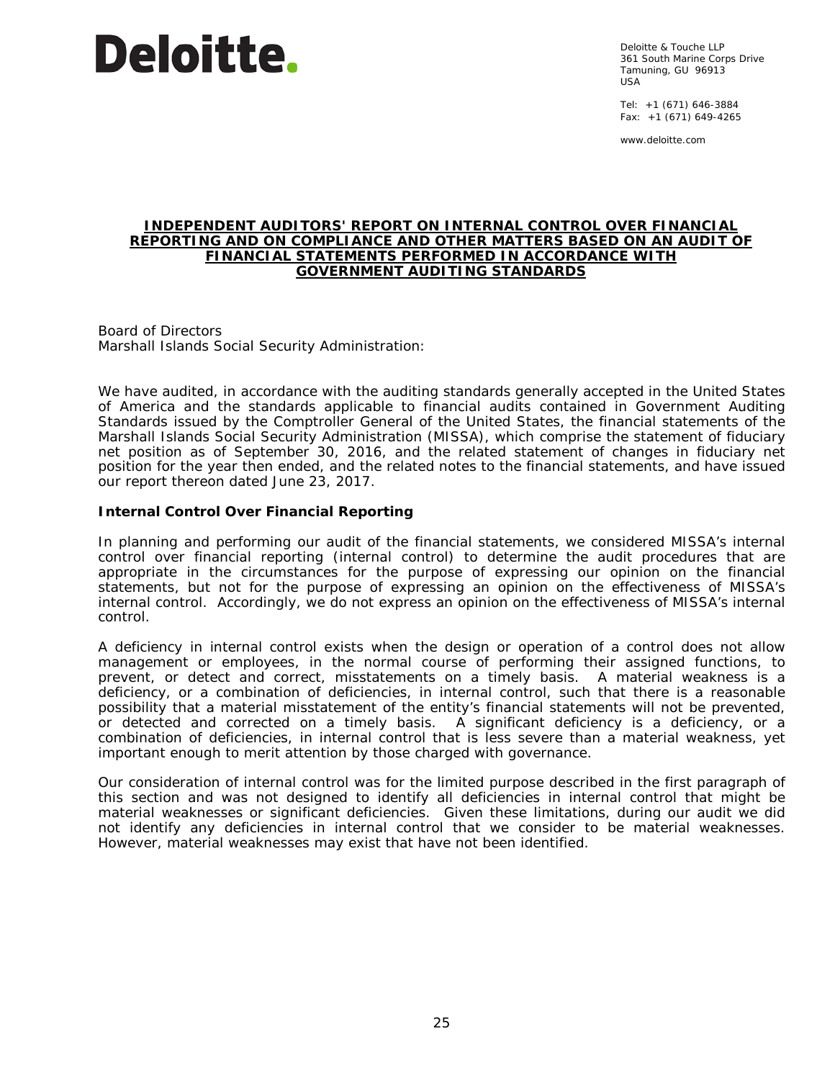# **Deloitte.**

Deloitte & Touche LLP 361 South Marine Corps Drive Tamuning, GU 96913 USA

Tel: +1 (671) 646-3884 Fax: +1 (671) 649-4265

www.deloitte.com

#### **INDEPENDENT AUDITORS' REPORT ON INTERNAL CONTROL OVER FINANCIAL REPORTING AND ON COMPLIANCE AND OTHER MATTERS BASED ON AN AUDIT OF FINANCIAL STATEMENTS PERFORMED IN ACCORDANCE WITH**  *GOVERNMENT AUDITING STANDARDS*

Board of Directors Marshall Islands Social Security Administration:

We have audited, in accordance with the auditing standards generally accepted in the United States of America and the standards applicable to financial audits contained in *Government Auditing Standards* issued by the Comptroller General of the United States, the financial statements of the Marshall Islands Social Security Administration (MISSA), which comprise the statement of fiduciary net position as of September 30, 2016, and the related statement of changes in fiduciary net position for the year then ended, and the related notes to the financial statements, and have issued our report thereon dated June 23, 2017.

#### **Internal Control Over Financial Reporting**

In planning and performing our audit of the financial statements, we considered MISSA's internal control over financial reporting (internal control) to determine the audit procedures that are appropriate in the circumstances for the purpose of expressing our opinion on the financial statements, but not for the purpose of expressing an opinion on the effectiveness of MISSA's internal control. Accordingly, we do not express an opinion on the effectiveness of MISSA's internal control.

A *deficiency in internal control* exists when the design or operation of a control does not allow management or employees, in the normal course of performing their assigned functions, to prevent, or detect and correct, misstatements on a timely basis. A *material weakness* is a deficiency, or a combination of deficiencies, in internal control, such that there is a reasonable possibility that a material misstatement of the entity's financial statements will not be prevented, or detected and corrected on a timely basis. A *significant deficiency* is a deficiency, or a combination of deficiencies, in internal control that is less severe than a material weakness, yet important enough to merit attention by those charged with governance.

Our consideration of internal control was for the limited purpose described in the first paragraph of this section and was not designed to identify all deficiencies in internal control that might be material weaknesses or significant deficiencies. Given these limitations, during our audit we did not identify any deficiencies in internal control that we consider to be material weaknesses. However, material weaknesses may exist that have not been identified.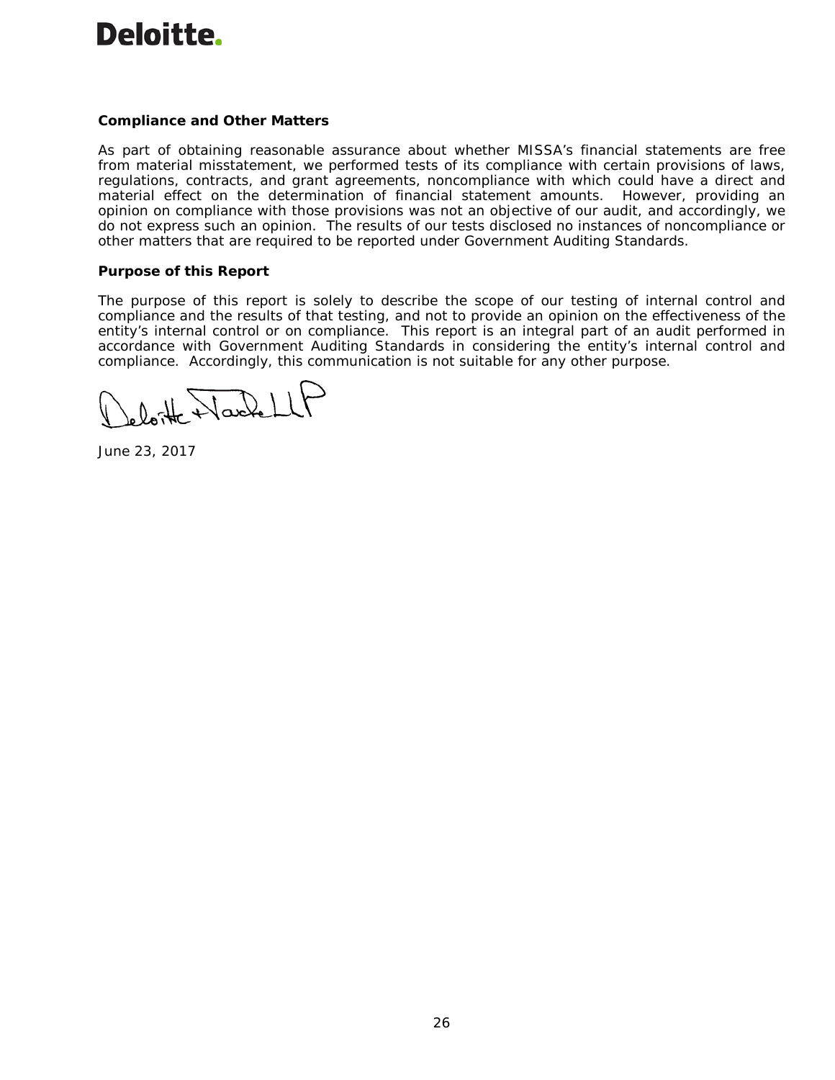

#### **Compliance and Other Matters**

As part of obtaining reasonable assurance about whether MISSA's financial statements are free from material misstatement, we performed tests of its compliance with certain provisions of laws, regulations, contracts, and grant agreements, noncompliance with which could have a direct and material effect on the determination of financial statement amounts. However, providing an opinion on compliance with those provisions was not an objective of our audit, and accordingly, we do not express such an opinion. The results of our tests disclosed no instances of noncompliance or other matters that are required to be reported under *Government Auditing Standards*.

#### **Purpose of this Report**

The purpose of this report is solely to describe the scope of our testing of internal control and compliance and the results of that testing, and not to provide an opinion on the effectiveness of the entity's internal control or on compliance. This report is an integral part of an audit performed in accordance with *Government Auditing Standards* in considering the entity's internal control and compliance. Accordingly, this communication is not suitable for any other purpose.

Harlet

June 23, 2017